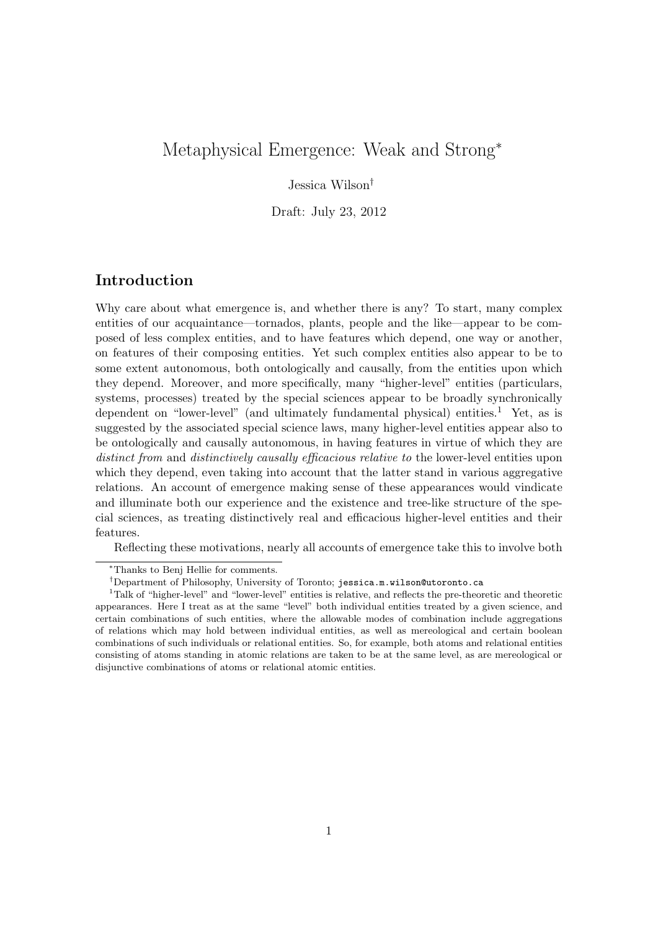# Metaphysical Emergence: Weak and Strong<sup>\*</sup>

## Jessica Wilson*†*

Draft: July 23, 2012

## Introduction

Why care about what emergence is, and whether there is any? To start, many complex entities of our acquaintance—tornados, plants, people and the like—appear to be composed of less complex entities, and to have features which depend, one way or another, on features of their composing entities. Yet such complex entities also appear to be to some extent autonomous, both ontologically and causally, from the entities upon which they depend. Moreover, and more specifically, many "higher-level" entities (particulars, systems, processes) treated by the special sciences appear to be broadly synchronically dependent on "lower-level" (and ultimately fundamental physical) entities.<sup>1</sup> Yet, as is suggested by the associated special science laws, many higher-level entities appear also to be ontologically and causally autonomous, in having features in virtue of which they are *distinct from* and *distinctively causally ecacious relative to* the lower-level entities upon which they depend, even taking into account that the latter stand in various aggregative relations. An account of emergence making sense of these appearances would vindicate and illuminate both our experience and the existence and tree-like structure of the special sciences, as treating distinctively real and efficacious higher-level entities and their features.

Reflecting these motivations, nearly all accounts of emergence take this to involve both

<sup>⇤</sup>Thanks to Benj Hellie for comments.

*<sup>†</sup>*Department of Philosophy, University of Toronto; jessica.m.wilson@utoronto.ca

<sup>1</sup>Talk of "higher-level" and "lower-level" entities is relative, and reflects the pre-theoretic and theoretic appearances. Here I treat as at the same "level" both individual entities treated by a given science, and certain combinations of such entities, where the allowable modes of combination include aggregations of relations which may hold between individual entities, as well as mereological and certain boolean combinations of such individuals or relational entities. So, for example, both atoms and relational entities consisting of atoms standing in atomic relations are taken to be at the same level, as are mereological or disjunctive combinations of atoms or relational atomic entities.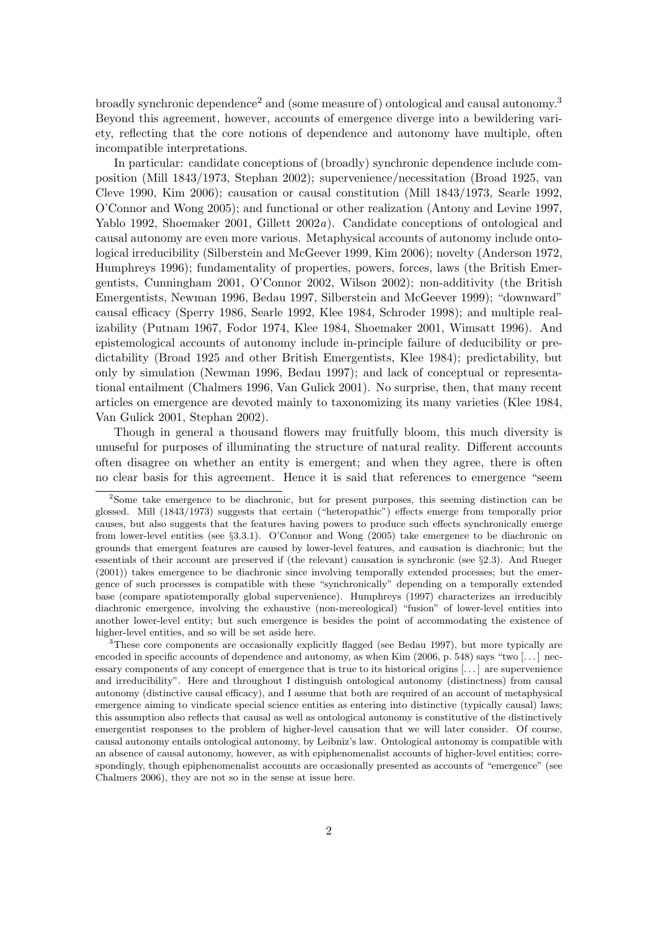broadly synchronic dependence<sup>2</sup> and (some measure of) ontological and causal autonomy.<sup>3</sup> Beyond this agreement, however, accounts of emergence diverge into a bewildering variety, reflecting that the core notions of dependence and autonomy have multiple, often incompatible interpretations.

In particular: candidate conceptions of (broadly) synchronic dependence include composition (Mill 1843/1973, Stephan 2002); supervenience/necessitation (Broad 1925, van Cleve 1990, Kim 2006); causation or causal constitution (Mill 1843/1973, Searle 1992, O'Connor and Wong 2005); and functional or other realization (Antony and Levine 1997, Yablo 1992, Shoemaker 2001, Gillett 2002*a*). Candidate conceptions of ontological and causal autonomy are even more various. Metaphysical accounts of autonomy include ontological irreducibility (Silberstein and McGeever 1999, Kim 2006); novelty (Anderson 1972, Humphreys 1996); fundamentality of properties, powers, forces, laws (the British Emergentists, Cunningham 2001, O'Connor 2002, Wilson 2002); non-additivity (the British Emergentists, Newman 1996, Bedau 1997, Silberstein and McGeever 1999); "downward" causal efficacy (Sperry 1986, Searle 1992, Klee 1984, Schroder 1998); and multiple realizability (Putnam 1967, Fodor 1974, Klee 1984, Shoemaker 2001, Wimsatt 1996). And epistemological accounts of autonomy include in-principle failure of deducibility or predictability (Broad 1925 and other British Emergentists, Klee 1984); predictability, but only by simulation (Newman 1996, Bedau 1997); and lack of conceptual or representational entailment (Chalmers 1996, Van Gulick 2001). No surprise, then, that many recent articles on emergence are devoted mainly to taxonomizing its many varieties (Klee 1984, Van Gulick 2001, Stephan 2002).

Though in general a thousand flowers may fruitfully bloom, this much diversity is unuseful for purposes of illuminating the structure of natural reality. Different accounts often disagree on whether an entity is emergent; and when they agree, there is often no clear basis for this agreement. Hence it is said that references to emergence "seem

<sup>3</sup>These core components are occasionally explicitly flagged (see Bedau 1997), but more typically are encoded in specific accounts of dependence and autonomy, as when Kim (2006, p. 548) says "two [...] necessary components of any concept of emergence that is true to its historical origins [. . . ] are supervenience and irreducibility". Here and throughout I distinguish ontological autonomy (distinctness) from causal autonomy (distinctive causal efficacy), and I assume that both are required of an account of metaphysical emergence aiming to vindicate special science entities as entering into distinctive (typically causal) laws; this assumption also reflects that causal as well as ontological autonomy is constitutive of the distinctively emergentist responses to the problem of higher-level causation that we will later consider. Of course, causal autonomy entails ontological autonomy, by Leibniz's law. Ontological autonomy is compatible with an absence of causal autonomy, however, as with epiphenomenalist accounts of higher-level entities; correspondingly, though epiphenomenalist accounts are occasionally presented as accounts of "emergence" (see Chalmers 2006), they are not so in the sense at issue here.

<sup>2</sup>Some take emergence to be diachronic, but for present purposes, this seeming distinction can be glossed. Mill (1843/1973) suggests that certain ("heteropathic") effects emerge from temporally prior causes, but also suggests that the features having powers to produce such effects synchronically emerge from lower-level entities (see *§*3.3.1). O'Connor and Wong (2005) take emergence to be diachronic on grounds that emergent features are caused by lower-level features, and causation is diachronic; but the essentials of their account are preserved if (the relevant) causation is synchronic (see *§*2.3). And Rueger (2001)) takes emergence to be diachronic since involving temporally extended processes; but the emergence of such processes is compatible with these "synchronically" depending on a temporally extended base (compare spatiotemporally global supervenience). Humphreys (1997) characterizes an irreducibly diachronic emergence, involving the exhaustive (non-mereological) "fusion" of lower-level entities into another lower-level entity; but such emergence is besides the point of accommodating the existence of higher-level entities, and so will be set aside here.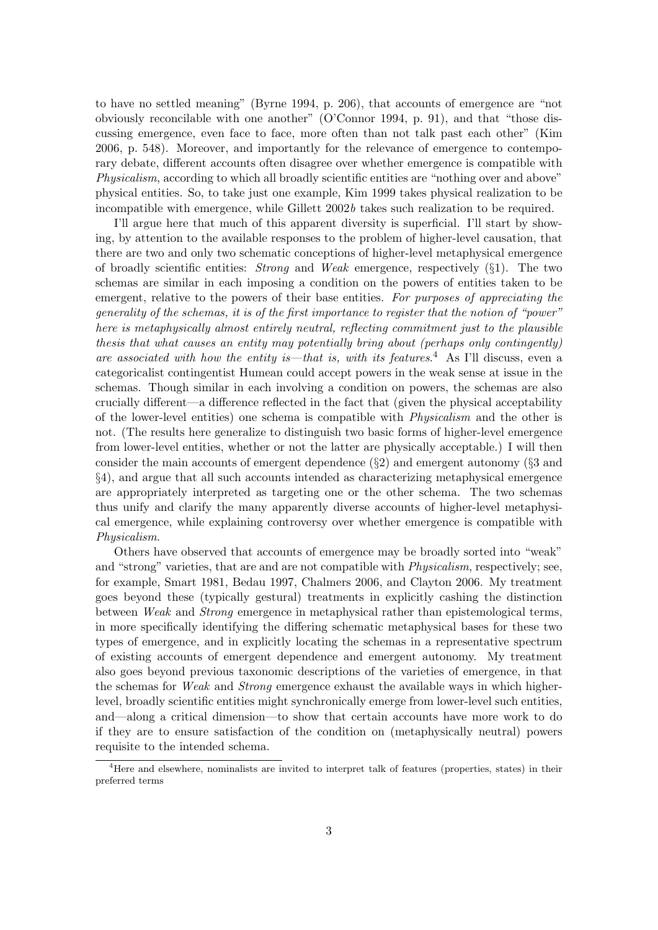to have no settled meaning" (Byrne 1994, p. 206), that accounts of emergence are "not obviously reconcilable with one another" (O'Connor 1994, p. 91), and that "those discussing emergence, even face to face, more often than not talk past each other" (Kim 2006, p. 548). Moreover, and importantly for the relevance of emergence to contemporary debate, different accounts often disagree over whether emergence is compatible with *Physicalism*, according to which all broadly scientific entities are "nothing over and above" physical entities. So, to take just one example, Kim 1999 takes physical realization to be incompatible with emergence, while Gillett 2002*b* takes such realization to be required.

I'll argue here that much of this apparent diversity is superficial. I'll start by showing, by attention to the available responses to the problem of higher-level causation, that there are two and only two schematic conceptions of higher-level metaphysical emergence of broadly scientific entities: *Strong* and *Weak* emergence, respectively (*§*1). The two schemas are similar in each imposing a condition on the powers of entities taken to be emergent, relative to the powers of their base entities. *For purposes of appreciating the generality of the schemas, it is of the first importance to register that the notion of "power" here is metaphysically almost entirely neutral, reflecting commitment just to the plausible thesis that what causes an entity may potentially bring about (perhaps only contingently) are associated with how the entity is—that is, with its features*. <sup>4</sup> As I'll discuss, even a categoricalist contingentist Humean could accept powers in the weak sense at issue in the schemas. Though similar in each involving a condition on powers, the schemas are also crucially different—a difference reflected in the fact that (given the physical acceptability of the lower-level entities) one schema is compatible with *Physicalism* and the other is not. (The results here generalize to distinguish two basic forms of higher-level emergence from lower-level entities, whether or not the latter are physically acceptable.) I will then consider the main accounts of emergent dependence (*§*2) and emergent autonomy (*§*3 and *§*4), and argue that all such accounts intended as characterizing metaphysical emergence are appropriately interpreted as targeting one or the other schema. The two schemas thus unify and clarify the many apparently diverse accounts of higher-level metaphysical emergence, while explaining controversy over whether emergence is compatible with *Physicalism*.

Others have observed that accounts of emergence may be broadly sorted into "weak" and "strong" varieties, that are and are not compatible with *Physicalism*, respectively; see, for example, Smart 1981, Bedau 1997, Chalmers 2006, and Clayton 2006. My treatment goes beyond these (typically gestural) treatments in explicitly cashing the distinction between *Weak* and *Strong* emergence in metaphysical rather than epistemological terms, in more specifically identifying the differing schematic metaphysical bases for these two types of emergence, and in explicitly locating the schemas in a representative spectrum of existing accounts of emergent dependence and emergent autonomy. My treatment also goes beyond previous taxonomic descriptions of the varieties of emergence, in that the schemas for *Weak* and *Strong* emergence exhaust the available ways in which higherlevel, broadly scientific entities might synchronically emerge from lower-level such entities, and—along a critical dimension—to show that certain accounts have more work to do if they are to ensure satisfaction of the condition on (metaphysically neutral) powers requisite to the intended schema.

<sup>4</sup>Here and elsewhere, nominalists are invited to interpret talk of features (properties, states) in their preferred terms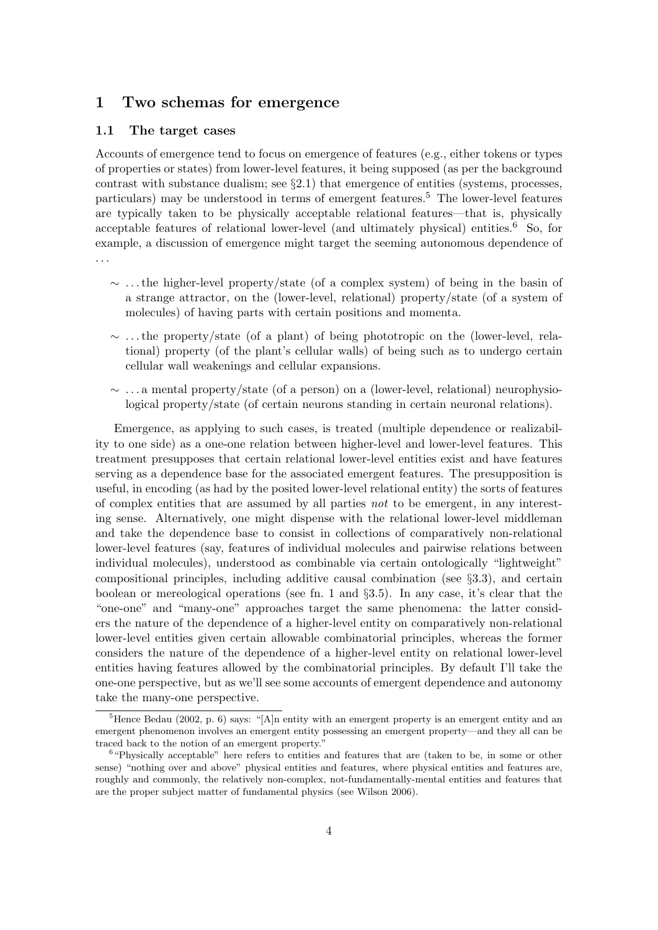## 1 Two schemas for emergence

#### 1.1 The target cases

Accounts of emergence tend to focus on emergence of features (e.g., either tokens or types of properties or states) from lower-level features, it being supposed (as per the background contrast with substance dualism; see *§*2.1) that emergence of entities (systems, processes, particulars) may be understood in terms of emergent features.<sup>5</sup> The lower-level features are typically taken to be physically acceptable relational features—that is, physically acceptable features of relational lower-level (and ultimately physical) entities.<sup>6</sup> So, for example, a discussion of emergence might target the seeming autonomous dependence of ...

- $\sim$ ... the higher-level property/state (of a complex system) of being in the basin of a strange attractor, on the (lower-level, relational) property/state (of a system of molecules) of having parts with certain positions and momenta.
- $\sim$ ... the property/state (of a plant) of being phototropic on the (lower-level, relational) property (of the plant's cellular walls) of being such as to undergo certain cellular wall weakenings and cellular expansions.
- $\sim$  ... a mental property/state (of a person) on a (lower-level, relational) neurophysiological property/state (of certain neurons standing in certain neuronal relations).

Emergence, as applying to such cases, is treated (multiple dependence or realizability to one side) as a one-one relation between higher-level and lower-level features. This treatment presupposes that certain relational lower-level entities exist and have features serving as a dependence base for the associated emergent features. The presupposition is useful, in encoding (as had by the posited lower-level relational entity) the sorts of features of complex entities that are assumed by all parties *not* to be emergent, in any interesting sense. Alternatively, one might dispense with the relational lower-level middleman and take the dependence base to consist in collections of comparatively non-relational lower-level features (say, features of individual molecules and pairwise relations between individual molecules), understood as combinable via certain ontologically "lightweight" compositional principles, including additive causal combination (see *§*3.3), and certain boolean or mereological operations (see fn. 1 and *§*3.5). In any case, it's clear that the "one-one" and "many-one" approaches target the same phenomena: the latter considers the nature of the dependence of a higher-level entity on comparatively non-relational lower-level entities given certain allowable combinatorial principles, whereas the former considers the nature of the dependence of a higher-level entity on relational lower-level entities having features allowed by the combinatorial principles. By default I'll take the one-one perspective, but as we'll see some accounts of emergent dependence and autonomy take the many-one perspective.

<sup>&</sup>lt;sup>5</sup>Hence Bedau (2002, p. 6) says: "[A]n entity with an emergent property is an emergent entity and an emergent phenomenon involves an emergent entity possessing an emergent property—and they all can be traced back to the notion of an emergent property."

<sup>6</sup>"Physically acceptable" here refers to entities and features that are (taken to be, in some or other sense) "nothing over and above" physical entities and features, where physical entities and features are, roughly and commonly, the relatively non-complex, not-fundamentally-mental entities and features that are the proper subject matter of fundamental physics (see Wilson 2006).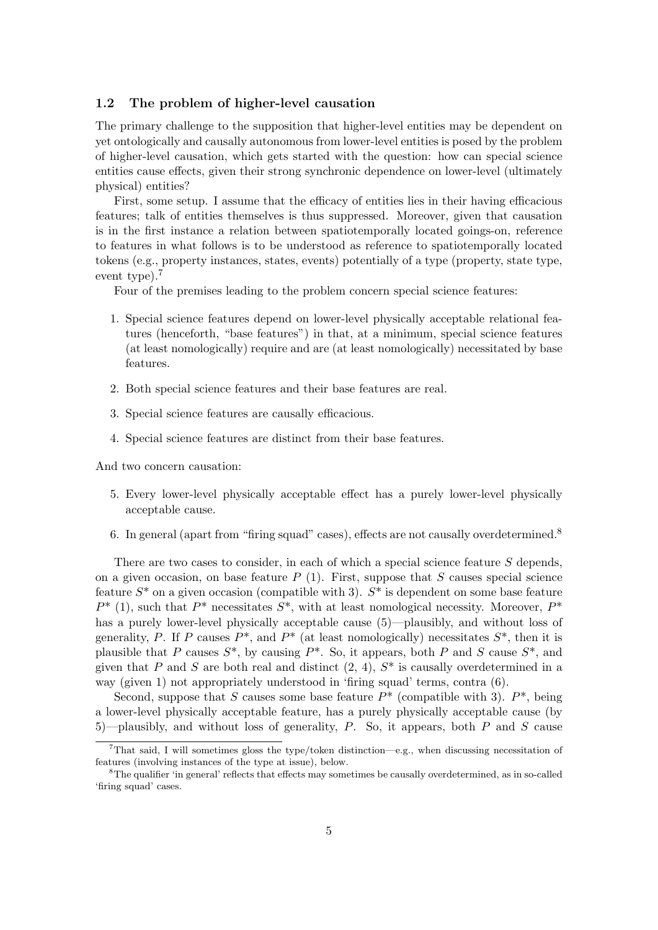#### 1.2 The problem of higher-level causation

The primary challenge to the supposition that higher-level entities may be dependent on yet ontologically and causally autonomous from lower-level entities is posed by the problem of higher-level causation, which gets started with the question: how can special science entities cause effects, given their strong synchronic dependence on lower-level (ultimately physical) entities?

First, some setup. I assume that the efficacy of entities lies in their having efficacious features; talk of entities themselves is thus suppressed. Moreover, given that causation is in the first instance a relation between spatiotemporally located goings-on, reference to features in what follows is to be understood as reference to spatiotemporally located tokens (e.g., property instances, states, events) potentially of a type (property, state type, event type).<sup>7</sup>

Four of the premises leading to the problem concern special science features:

- 1. Special science features depend on lower-level physically acceptable relational features (henceforth, "base features") in that, at a minimum, special science features (at least nomologically) require and are (at least nomologically) necessitated by base features.
- 2. Both special science features and their base features are real.
- 3. Special science features are causally efficacious.
- 4. Special science features are distinct from their base features.

And two concern causation:

- 5. Every lower-level physically acceptable effect has a purely lower-level physically acceptable cause.
- 6. In general (apart from "firing squad" cases), effects are not causally overdetermined. $8$

There are two cases to consider, in each of which a special science feature *S* depends, on a given occasion, on base feature *P* (1). First, suppose that *S* causes special science feature *S*\* on a given occasion (compatible with 3). *S*\* is dependent on some base feature *P*\* (1), such that *P*\* necessitates *S*\*, with at least nomological necessity. Moreover, *P*\* has a purely lower-level physically acceptable cause (5)—plausibly, and without loss of generality, *P*. If *P* causes  $P^*$ , and  $P^*$  (at least nomologically) necessitates  $S^*$ , then it is plausible that *P* causes *S*\*, by causing *P*\*. So, it appears, both *P* and *S* cause *S*\*, and given that *P* and *S* are both real and distinct  $(2, 4)$ ,  $S^*$  is causally overdetermined in a way (given 1) not appropriately understood in 'firing squad' terms, contra (6).

Second, suppose that *S* causes some base feature  $P^*$  (compatible with 3).  $P^*$ , being a lower-level physically acceptable feature, has a purely physically acceptable cause (by 5)—plausibly, and without loss of generality, *P*. So, it appears, both *P* and *S* cause

<sup>7</sup>That said, I will sometimes gloss the type/token distinction—e.g., when discussing necessitation of features (involving instances of the type at issue), below.

<sup>&</sup>lt;sup>8</sup>The qualifier 'in general' reflects that effects may sometimes be causally overdetermined, as in so-called 'firing squad' cases.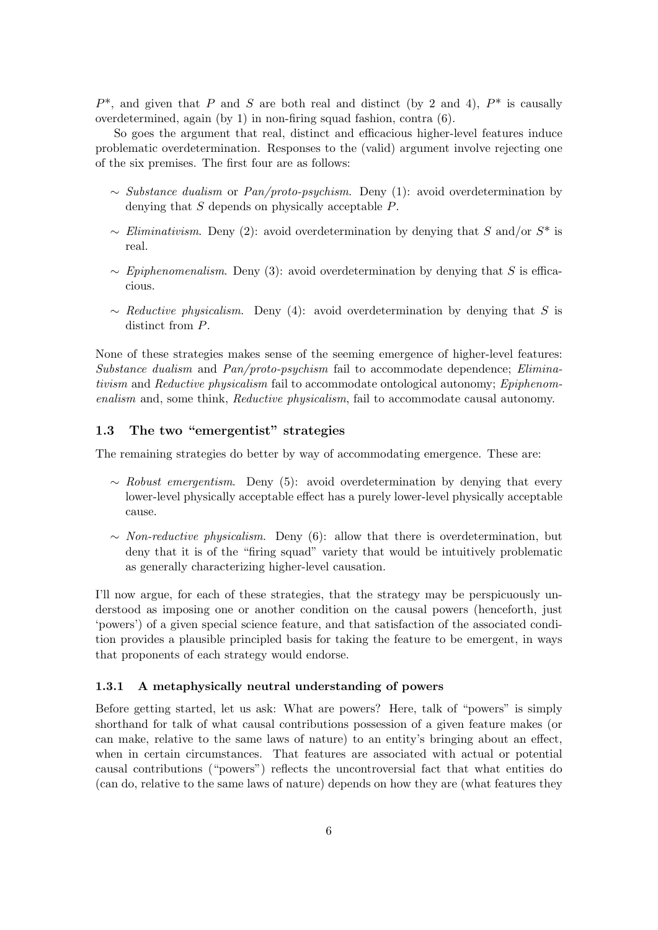*P*\*, and given that *P* and *S* are both real and distinct (by 2 and 4), *P*\* is causally overdetermined, again (by 1) in non-firing squad fashion, contra (6).

So goes the argument that real, distinct and efficacious higher-level features induce problematic overdetermination. Responses to the (valid) argument involve rejecting one of the six premises. The first four are as follows:

- $\sim$  *Substance dualism* or *Pan/proto-psychism*. Deny (1): avoid overdetermination by denying that *S* depends on physically acceptable *P*.
- $\sim$  *Eliminativism.* Deny (2): avoid overdetermination by denying that *S* and/or  $S^*$  is real.
- $\sim$  *Epiphenomenalism.* Deny (3): avoid overdetermination by denying that *S* is efficacious.
- $\sim$  *Reductive physicalism.* Deny (4): avoid overdetermination by denying that *S* is distinct from *P*.

None of these strategies makes sense of the seeming emergence of higher-level features: *Substance dualism* and *Pan/proto-psychism* fail to accommodate dependence; *Eliminativism* and *Reductive physicalism* fail to accommodate ontological autonomy; *Epiphenomenalism* and, some think, *Reductive physicalism*, fail to accommodate causal autonomy.

#### 1.3 The two "emergentist" strategies

The remaining strategies do better by way of accommodating emergence. These are:

- $\sim$  *Robust emergentism.* Deny (5): avoid overdetermination by denying that every lower-level physically acceptable effect has a purely lower-level physically acceptable cause.
- $\sim$  *Non-reductive physicalism.* Deny (6): allow that there is overdetermination, but deny that it is of the "firing squad" variety that would be intuitively problematic as generally characterizing higher-level causation.

I'll now argue, for each of these strategies, that the strategy may be perspicuously understood as imposing one or another condition on the causal powers (henceforth, just 'powers') of a given special science feature, and that satisfaction of the associated condition provides a plausible principled basis for taking the feature to be emergent, in ways that proponents of each strategy would endorse.

#### 1.3.1 A metaphysically neutral understanding of powers

Before getting started, let us ask: What are powers? Here, talk of "powers" is simply shorthand for talk of what causal contributions possession of a given feature makes (or can make, relative to the same laws of nature) to an entity's bringing about an effect, when in certain circumstances. That features are associated with actual or potential causal contributions ("powers") reflects the uncontroversial fact that what entities do (can do, relative to the same laws of nature) depends on how they are (what features they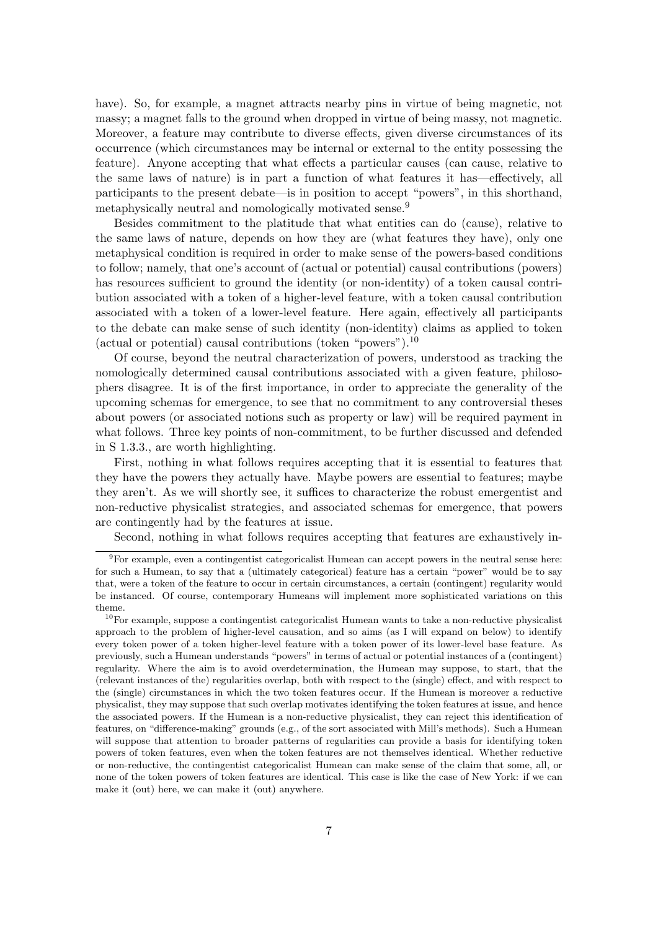have). So, for example, a magnet attracts nearby pins in virtue of being magnetic, not massy; a magnet falls to the ground when dropped in virtue of being massy, not magnetic. Moreover, a feature may contribute to diverse effects, given diverse circumstances of its occurrence (which circumstances may be internal or external to the entity possessing the feature). Anyone accepting that what effects a particular causes (can cause, relative to the same laws of nature) is in part a function of what features it has—effectively, all participants to the present debate—is in position to accept "powers", in this shorthand, metaphysically neutral and nomologically motivated sense.<sup>9</sup>

Besides commitment to the platitude that what entities can do (cause), relative to the same laws of nature, depends on how they are (what features they have), only one metaphysical condition is required in order to make sense of the powers-based conditions to follow; namely, that one's account of (actual or potential) causal contributions (powers) has resources sufficient to ground the identity (or non-identity) of a token causal contribution associated with a token of a higher-level feature, with a token causal contribution associated with a token of a lower-level feature. Here again, effectively all participants to the debate can make sense of such identity (non-identity) claims as applied to token (actual or potential) causal contributions (token "powers").<sup>10</sup>

Of course, beyond the neutral characterization of powers, understood as tracking the nomologically determined causal contributions associated with a given feature, philosophers disagree. It is of the first importance, in order to appreciate the generality of the upcoming schemas for emergence, to see that no commitment to any controversial theses about powers (or associated notions such as property or law) will be required payment in what follows. Three key points of non-commitment, to be further discussed and defended in S 1.3.3., are worth highlighting.

First, nothing in what follows requires accepting that it is essential to features that they have the powers they actually have. Maybe powers are essential to features; maybe they aren't. As we will shortly see, it suffices to characterize the robust emergentist and non-reductive physicalist strategies, and associated schemas for emergence, that powers are contingently had by the features at issue.

Second, nothing in what follows requires accepting that features are exhaustively in-

 ${}^{9}$ For example, even a contingentist categoricalist Humean can accept powers in the neutral sense here: for such a Humean, to say that a (ultimately categorical) feature has a certain "power" would be to say that, were a token of the feature to occur in certain circumstances, a certain (contingent) regularity would be instanced. Of course, contemporary Humeans will implement more sophisticated variations on this theme.

 $10$ For example, suppose a contingentist categoricalist Humean wants to take a non-reductive physicalist approach to the problem of higher-level causation, and so aims (as I will expand on below) to identify every token power of a token higher-level feature with a token power of its lower-level base feature. As previously, such a Humean understands "powers" in terms of actual or potential instances of a (contingent) regularity. Where the aim is to avoid overdetermination, the Humean may suppose, to start, that the (relevant instances of the) regularities overlap, both with respect to the (single) effect, and with respect to the (single) circumstances in which the two token features occur. If the Humean is moreover a reductive physicalist, they may suppose that such overlap motivates identifying the token features at issue, and hence the associated powers. If the Humean is a non-reductive physicalist, they can reject this identification of features, on "difference-making" grounds (e.g., of the sort associated with Mill's methods). Such a Humean will suppose that attention to broader patterns of regularities can provide a basis for identifying token powers of token features, even when the token features are not themselves identical. Whether reductive or non-reductive, the contingentist categoricalist Humean can make sense of the claim that some, all, or none of the token powers of token features are identical. This case is like the case of New York: if we can make it (out) here, we can make it (out) anywhere.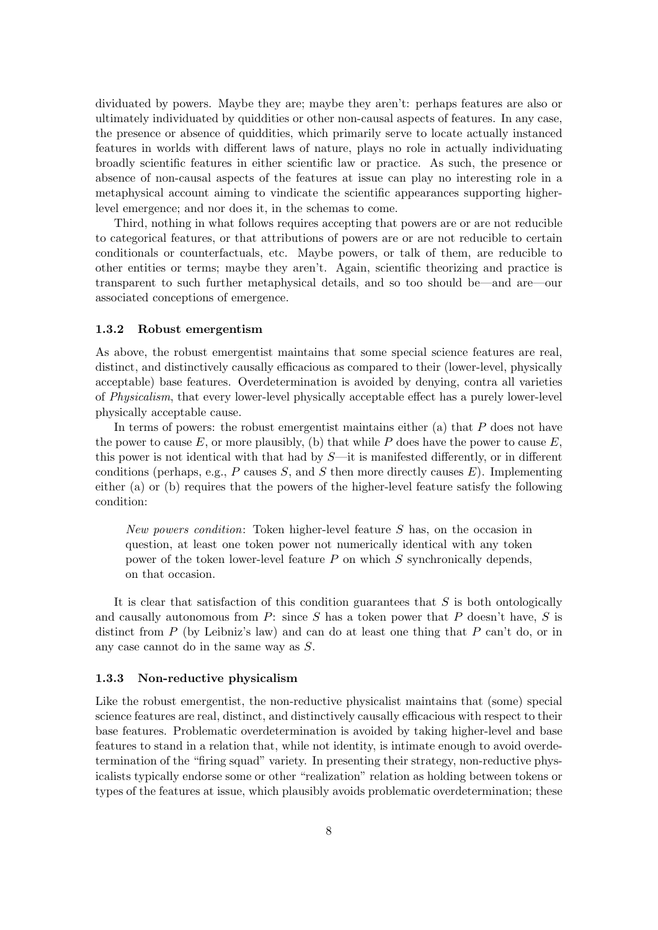dividuated by powers. Maybe they are; maybe they aren't: perhaps features are also or ultimately individuated by quiddities or other non-causal aspects of features. In any case, the presence or absence of quiddities, which primarily serve to locate actually instanced features in worlds with different laws of nature, plays no role in actually individuating broadly scientific features in either scientific law or practice. As such, the presence or absence of non-causal aspects of the features at issue can play no interesting role in a metaphysical account aiming to vindicate the scientific appearances supporting higherlevel emergence; and nor does it, in the schemas to come.

Third, nothing in what follows requires accepting that powers are or are not reducible to categorical features, or that attributions of powers are or are not reducible to certain conditionals or counterfactuals, etc. Maybe powers, or talk of them, are reducible to other entities or terms; maybe they aren't. Again, scientific theorizing and practice is transparent to such further metaphysical details, and so too should be—and are—our associated conceptions of emergence.

#### 1.3.2 Robust emergentism

As above, the robust emergentist maintains that some special science features are real, distinct, and distinctively causally efficacious as compared to their (lower-level, physically acceptable) base features. Overdetermination is avoided by denying, contra all varieties of *Physicalism*, that every lower-level physically acceptable effect has a purely lower-level physically acceptable cause.

In terms of powers: the robust emergentist maintains either (a) that *P* does not have the power to cause  $E$ , or more plausibly, (b) that while  $P$  does have the power to cause  $E$ , this power is not identical with that had by  $S$ —it is manifested differently, or in different conditions (perhaps, e.g., *P* causes *S*, and *S* then more directly causes *E*). Implementing either (a) or (b) requires that the powers of the higher-level feature satisfy the following condition:

*New powers condition*: Token higher-level feature *S* has, on the occasion in question, at least one token power not numerically identical with any token power of the token lower-level feature *P* on which *S* synchronically depends, on that occasion.

It is clear that satisfaction of this condition guarantees that *S* is both ontologically and causally autonomous from *P*: since *S* has a token power that *P* doesn't have, *S* is distinct from *P* (by Leibniz's law) and can do at least one thing that *P* can't do, or in any case cannot do in the same way as *S*.

#### 1.3.3 Non-reductive physicalism

Like the robust emergentist, the non-reductive physicalist maintains that (some) special science features are real, distinct, and distinctively causally efficacious with respect to their base features. Problematic overdetermination is avoided by taking higher-level and base features to stand in a relation that, while not identity, is intimate enough to avoid overdetermination of the "firing squad" variety. In presenting their strategy, non-reductive physicalists typically endorse some or other "realization" relation as holding between tokens or types of the features at issue, which plausibly avoids problematic overdetermination; these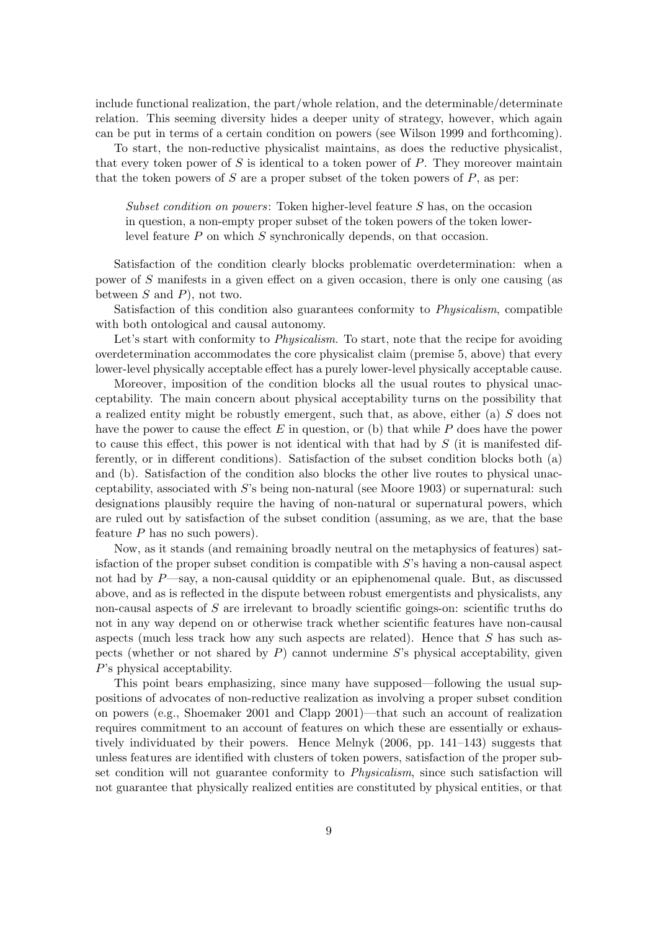include functional realization, the part/whole relation, and the determinable/determinate relation. This seeming diversity hides a deeper unity of strategy, however, which again can be put in terms of a certain condition on powers (see Wilson 1999 and forthcoming).

To start, the non-reductive physicalist maintains, as does the reductive physicalist, that every token power of *S* is identical to a token power of *P*. They moreover maintain that the token powers of *S* are a proper subset of the token powers of *P*, as per:

*Subset condition on powers*: Token higher-level feature *S* has, on the occasion in question, a non-empty proper subset of the token powers of the token lowerlevel feature *P* on which *S* synchronically depends, on that occasion.

Satisfaction of the condition clearly blocks problematic overdetermination: when a power of *S* manifests in a given effect on a given occasion, there is only one causing (as between *S* and *P*), not two.

Satisfaction of this condition also guarantees conformity to *Physicalism*, compatible with both ontological and causal autonomy.

Let's start with conformity to *Physicalism*. To start, note that the recipe for avoiding overdetermination accommodates the core physicalist claim (premise 5, above) that every lower-level physically acceptable effect has a purely lower-level physically acceptable cause.

Moreover, imposition of the condition blocks all the usual routes to physical unacceptability. The main concern about physical acceptability turns on the possibility that a realized entity might be robustly emergent, such that, as above, either (a) *S* does not have the power to cause the effect  $E$  in question, or (b) that while  $P$  does have the power to cause this effect, this power is not identical with that had by *S* (it is manifested differently, or in different conditions). Satisfaction of the subset condition blocks both  $(a)$ and (b). Satisfaction of the condition also blocks the other live routes to physical unacceptability, associated with *S*'s being non-natural (see Moore 1903) or supernatural: such designations plausibly require the having of non-natural or supernatural powers, which are ruled out by satisfaction of the subset condition (assuming, as we are, that the base feature *P* has no such powers).

Now, as it stands (and remaining broadly neutral on the metaphysics of features) satisfaction of the proper subset condition is compatible with *S*'s having a non-causal aspect not had by *P*—say, a non-causal quiddity or an epiphenomenal quale. But, as discussed above, and as is reflected in the dispute between robust emergentists and physicalists, any non-causal aspects of *S* are irrelevant to broadly scientific goings-on: scientific truths do not in any way depend on or otherwise track whether scientific features have non-causal aspects (much less track how any such aspects are related). Hence that *S* has such aspects (whether or not shared by *P*) cannot undermine *S*'s physical acceptability, given *P*'s physical acceptability.

This point bears emphasizing, since many have supposed—following the usual suppositions of advocates of non-reductive realization as involving a proper subset condition on powers (e.g., Shoemaker 2001 and Clapp 2001)—that such an account of realization requires commitment to an account of features on which these are essentially or exhaustively individuated by their powers. Hence Melnyk (2006, pp. 141–143) suggests that unless features are identified with clusters of token powers, satisfaction of the proper subset condition will not guarantee conformity to *Physicalism*, since such satisfaction will not guarantee that physically realized entities are constituted by physical entities, or that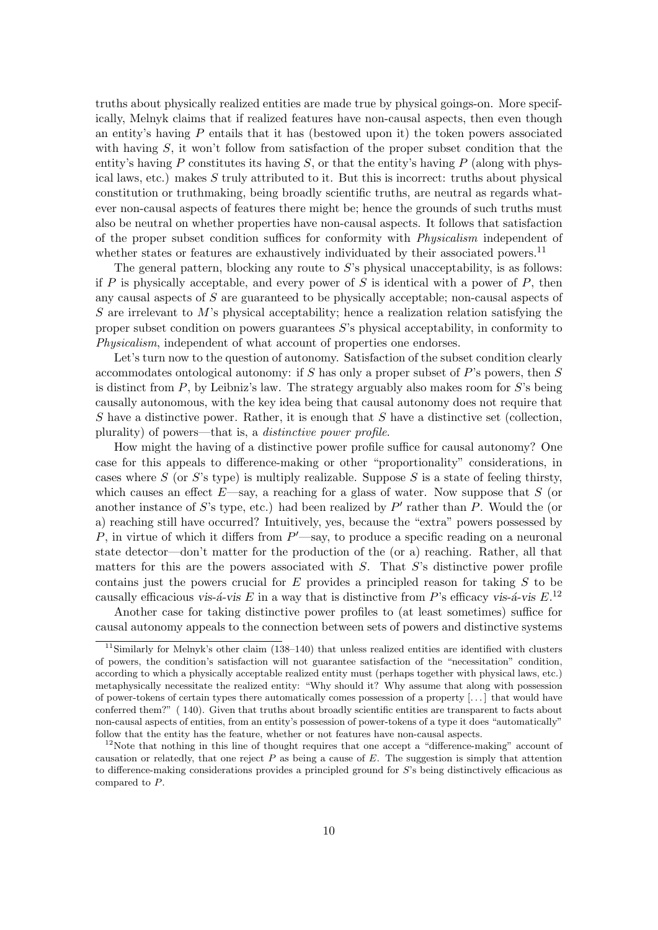truths about physically realized entities are made true by physical goings-on. More specifically, Melnyk claims that if realized features have non-causal aspects, then even though an entity's having *P* entails that it has (bestowed upon it) the token powers associated with having *S*, it won't follow from satisfaction of the proper subset condition that the entity's having  $P$  constitutes its having  $S$ , or that the entity's having  $P$  (along with physical laws, etc.) makes *S* truly attributed to it. But this is incorrect: truths about physical constitution or truthmaking, being broadly scientific truths, are neutral as regards whatever non-causal aspects of features there might be; hence the grounds of such truths must also be neutral on whether properties have non-causal aspects. It follows that satisfaction of the proper subset condition suffices for conformity with *Physicalism* independent of whether states or features are exhaustively individuated by their associated powers.<sup>11</sup>

The general pattern, blocking any route to *S*'s physical unacceptability, is as follows: if *P* is physically acceptable, and every power of *S* is identical with a power of *P*, then any causal aspects of *S* are guaranteed to be physically acceptable; non-causal aspects of *S* are irrelevant to *M*'s physical acceptability; hence a realization relation satisfying the proper subset condition on powers guarantees *S*'s physical acceptability, in conformity to *Physicalism*, independent of what account of properties one endorses.

Let's turn now to the question of autonomy. Satisfaction of the subset condition clearly accommodates ontological autonomy: if *S* has only a proper subset of *P*'s powers, then *S* is distinct from *P*, by Leibniz's law. The strategy arguably also makes room for *S*'s being causally autonomous, with the key idea being that causal autonomy does not require that *S* have a distinctive power. Rather, it is enough that *S* have a distinctive set (collection, plurality) of powers—that is, a *distinctive power profile*.

How might the having of a distinctive power profile suffice for causal autonomy? One case for this appeals to difference-making or other "proportionality" considerations, in cases where *S* (or *S*'s type) is multiply realizable. Suppose *S* is a state of feeling thirsty, which causes an effect  $E$ —say, a reaching for a glass of water. Now suppose that *S* (or another instance of  $S$ 's type, etc.) had been realized by  $P'$  rather than  $P$ . Would the (or a) reaching still have occurred? Intuitively, yes, because the "extra" powers possessed by *P*, in virtue of which it differs from *P'*—say, to produce a specific reading on a neuronal state detector—don't matter for the production of the (or a) reaching. Rather, all that matters for this are the powers associated with *S*. That *S*'s distinctive power profile contains just the powers crucial for *E* provides a principled reason for taking *S* to be causally efficacious *vis-á-vis*  $E$  in a way that is distinctive from  $P$ 's efficacy *vis-á-vis*  $E$ <sup>12</sup>

Another case for taking distinctive power profiles to (at least sometimes) suffice for causal autonomy appeals to the connection between sets of powers and distinctive systems

<sup>11</sup>Similarly for Melnyk's other claim (138–140) that unless realized entities are identified with clusters of powers, the condition's satisfaction will not guarantee satisfaction of the "necessitation" condition, according to which a physically acceptable realized entity must (perhaps together with physical laws, etc.) metaphysically necessitate the realized entity: "Why should it? Why assume that along with possession of power-tokens of certain types there automatically comes possession of a property [. . . ] that would have conferred them?" ( 140). Given that truths about broadly scientific entities are transparent to facts about non-causal aspects of entities, from an entity's possession of power-tokens of a type it does "automatically" follow that the entity has the feature, whether or not features have non-causal aspects.

 $12$ Note that nothing in this line of thought requires that one accept a "difference-making" account of causation or relatedly, that one reject *P* as being a cause of *E*. The suggestion is simply that attention to difference-making considerations provides a principled ground for *S*'s being distinctively efficacious as compared to *P*.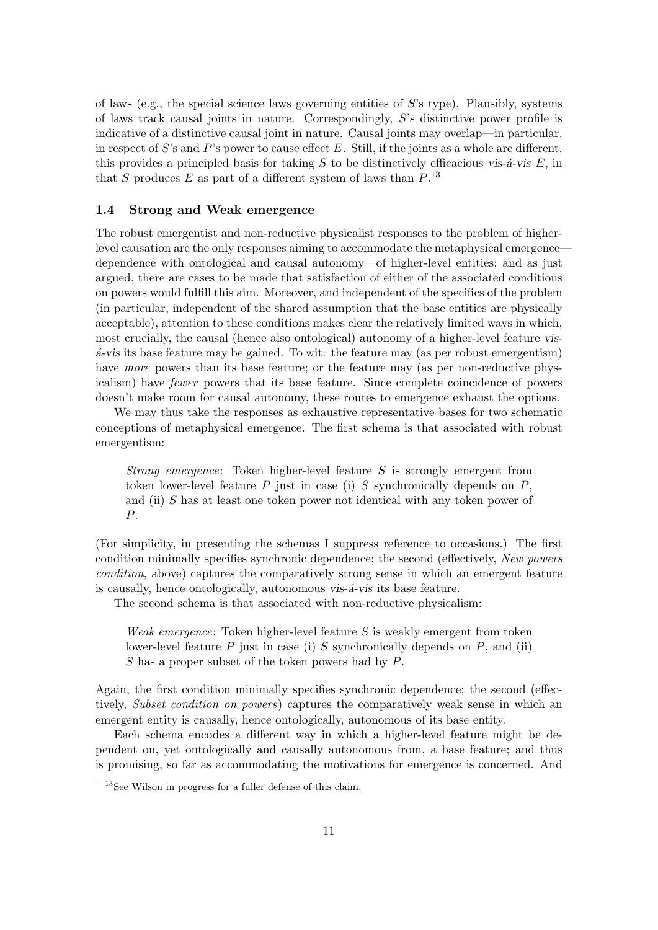of laws (e.g., the special science laws governing entities of *S*'s type). Plausibly, systems of laws track causal joints in nature. Correspondingly, *S*'s distinctive power profile is indicative of a distinctive causal joint in nature. Causal joints may overlap—in particular, in respect of *S*'s and *P*'s power to cause effect *E*. Still, if the joints as a whole are different, this provides a principled basis for taking  $S$  to be distinctively efficacious *vis-* $\acute{a}$ -*vis*  $E$ , in that *S* produces *E* as part of a different system of laws than  $P^{13}$ .

#### 1.4 Strong and Weak emergence

The robust emergentist and non-reductive physicalist responses to the problem of higherlevel causation are the only responses aiming to accommodate the metaphysical emergence dependence with ontological and causal autonomy—of higher-level entities; and as just argued, there are cases to be made that satisfaction of either of the associated conditions on powers would fulfill this aim. Moreover, and independent of the specifics of the problem (in particular, independent of the shared assumption that the base entities are physically acceptable), attention to these conditions makes clear the relatively limited ways in which, most crucially, the causal (hence also ontological) autonomy of a higher-level feature *vis- ´a-vis* its base feature may be gained. To wit: the feature may (as per robust emergentism) have *more* powers than its base feature; or the feature may (as per non-reductive physicalism) have *fewer* powers that its base feature. Since complete coincidence of powers doesn't make room for causal autonomy, these routes to emergence exhaust the options.

We may thus take the responses as exhaustive representative bases for two schematic conceptions of metaphysical emergence. The first schema is that associated with robust emergentism:

*Strong emergence*: Token higher-level feature *S* is strongly emergent from token lower-level feature *P* just in case (i) *S* synchronically depends on *P*, and (ii) *S* has at least one token power not identical with any token power of *P*.

(For simplicity, in presenting the schemas I suppress reference to occasions.) The first condition minimally specifies synchronic dependence; the second (effectively, *New powers condition*, above) captures the comparatively strong sense in which an emergent feature is causally, hence ontologically, autonomous *vis-á-vis* its base feature.

The second schema is that associated with non-reductive physicalism:

*Weak emergence*: Token higher-level feature *S* is weakly emergent from token lower-level feature *P* just in case (i) *S* synchronically depends on *P*, and (ii) *S* has a proper subset of the token powers had by *P*.

Again, the first condition minimally specifies synchronic dependence; the second (effectively, *Subset condition on powers*) captures the comparatively weak sense in which an emergent entity is causally, hence ontologically, autonomous of its base entity.

Each schema encodes a different way in which a higher-level feature might be dependent on, yet ontologically and causally autonomous from, a base feature; and thus is promising, so far as accommodating the motivations for emergence is concerned. And

<sup>13</sup>See Wilson in progress for a fuller defense of this claim.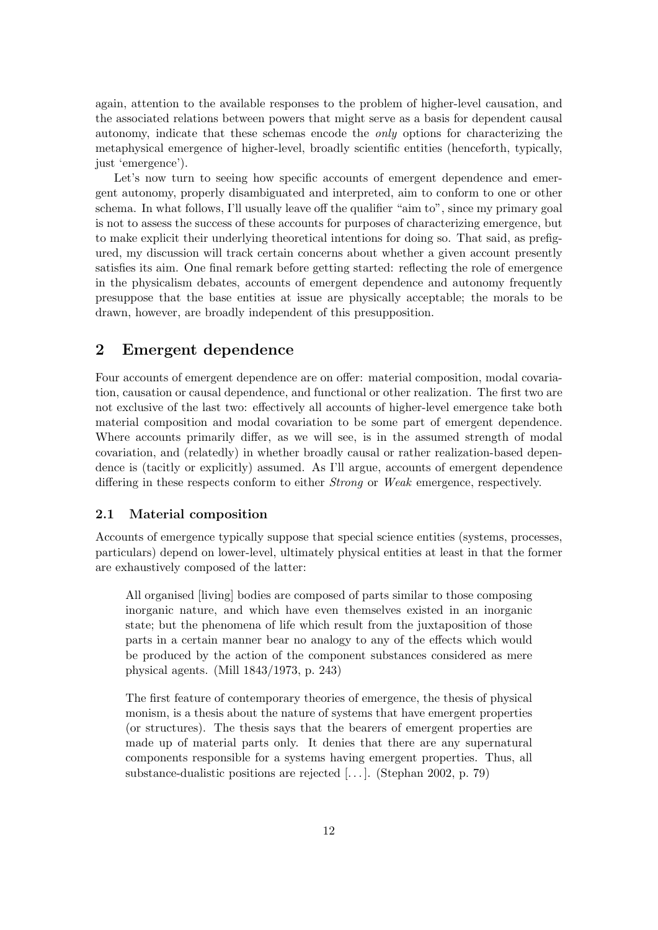again, attention to the available responses to the problem of higher-level causation, and the associated relations between powers that might serve as a basis for dependent causal autonomy, indicate that these schemas encode the *only* options for characterizing the metaphysical emergence of higher-level, broadly scientific entities (henceforth, typically, just 'emergence').

Let's now turn to seeing how specific accounts of emergent dependence and emergent autonomy, properly disambiguated and interpreted, aim to conform to one or other schema. In what follows, I'll usually leave off the qualifier "aim to", since my primary goal is not to assess the success of these accounts for purposes of characterizing emergence, but to make explicit their underlying theoretical intentions for doing so. That said, as prefigured, my discussion will track certain concerns about whether a given account presently satisfies its aim. One final remark before getting started: reflecting the role of emergence in the physicalism debates, accounts of emergent dependence and autonomy frequently presuppose that the base entities at issue are physically acceptable; the morals to be drawn, however, are broadly independent of this presupposition.

## 2 Emergent dependence

Four accounts of emergent dependence are on offer: material composition, modal covariation, causation or causal dependence, and functional or other realization. The first two are not exclusive of the last two: effectively all accounts of higher-level emergence take both material composition and modal covariation to be some part of emergent dependence. Where accounts primarily differ, as we will see, is in the assumed strength of modal covariation, and (relatedly) in whether broadly causal or rather realization-based dependence is (tacitly or explicitly) assumed. As I'll argue, accounts of emergent dependence differing in these respects conform to either *Strong* or *Weak* emergence, respectively.

#### 2.1 Material composition

Accounts of emergence typically suppose that special science entities (systems, processes, particulars) depend on lower-level, ultimately physical entities at least in that the former are exhaustively composed of the latter:

All organised [living] bodies are composed of parts similar to those composing inorganic nature, and which have even themselves existed in an inorganic state; but the phenomena of life which result from the juxtaposition of those parts in a certain manner bear no analogy to any of the effects which would be produced by the action of the component substances considered as mere physical agents. (Mill 1843/1973, p. 243)

The first feature of contemporary theories of emergence, the thesis of physical monism, is a thesis about the nature of systems that have emergent properties (or structures). The thesis says that the bearers of emergent properties are made up of material parts only. It denies that there are any supernatural components responsible for a systems having emergent properties. Thus, all substance-dualistic positions are rejected [...]. (Stephan 2002, p. 79)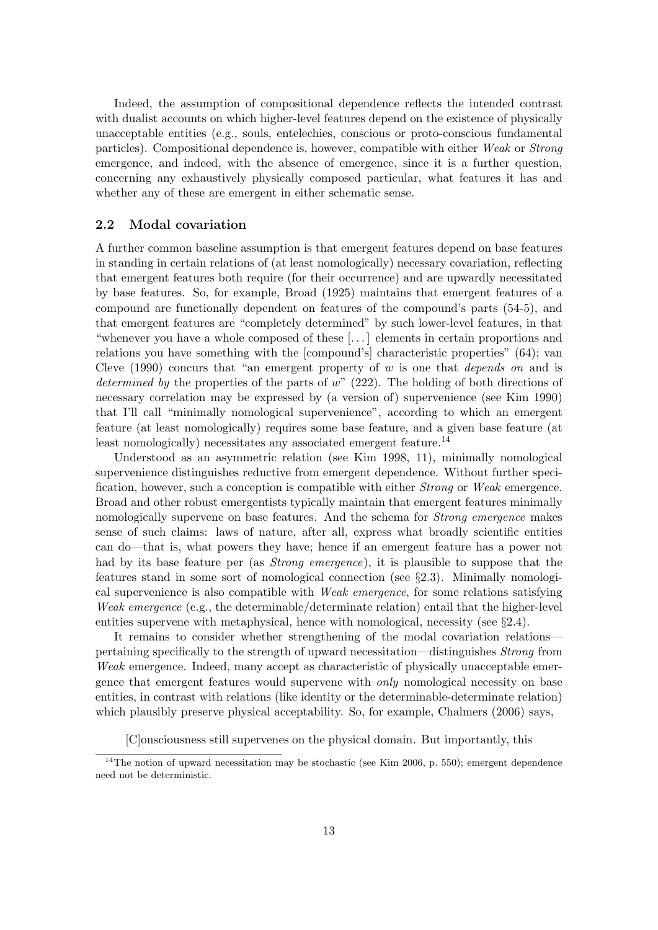Indeed, the assumption of compositional dependence reflects the intended contrast with dualist accounts on which higher-level features depend on the existence of physically unacceptable entities (e.g., souls, entelechies, conscious or proto-conscious fundamental particles). Compositional dependence is, however, compatible with either *Weak* or *Strong* emergence, and indeed, with the absence of emergence, since it is a further question, concerning any exhaustively physically composed particular, what features it has and whether any of these are emergent in either schematic sense.

#### 2.2 Modal covariation

A further common baseline assumption is that emergent features depend on base features in standing in certain relations of (at least nomologically) necessary covariation, reflecting that emergent features both require (for their occurrence) and are upwardly necessitated by base features. So, for example, Broad (1925) maintains that emergent features of a compound are functionally dependent on features of the compound's parts (54-5), and that emergent features are "completely determined" by such lower-level features, in that "whenever you have a whole composed of these [. . . ] elements in certain proportions and relations you have something with the [compound's] characteristic properties" (64); van Cleve (1990) concurs that "an emergent property of *w* is one that *depends on* and is *determined by* the properties of the parts of *w*" (222). The holding of both directions of necessary correlation may be expressed by (a version of) supervenience (see Kim 1990) that I'll call "minimally nomological supervenience", according to which an emergent feature (at least nomologically) requires some base feature, and a given base feature (at least nomologically) necessitates any associated emergent feature.<sup>14</sup>

Understood as an asymmetric relation (see Kim 1998, 11), minimally nomological supervenience distinguishes reductive from emergent dependence. Without further specification, however, such a conception is compatible with either *Strong* or *Weak* emergence. Broad and other robust emergentists typically maintain that emergent features minimally nomologically supervene on base features. And the schema for *Strong emergence* makes sense of such claims: laws of nature, after all, express what broadly scientific entities can do—that is, what powers they have; hence if an emergent feature has a power not had by its base feature per (as *Strong emergence*), it is plausible to suppose that the features stand in some sort of nomological connection (see *§*2.3). Minimally nomological supervenience is also compatible with *Weak emergence*, for some relations satisfying *Weak emergence* (e.g., the determinable/determinate relation) entail that the higher-level entities supervene with metaphysical, hence with nomological, necessity (see *§*2.4).

It remains to consider whether strengthening of the modal covariation relations pertaining specifically to the strength of upward necessitation—distinguishes *Strong* from *Weak* emergence. Indeed, many accept as characteristic of physically unacceptable emergence that emergent features would supervene with *only* nomological necessity on base entities, in contrast with relations (like identity or the determinable-determinate relation) which plausibly preserve physical acceptability. So, for example, Chalmers (2006) says,

[C]onsciousness still supervenes on the physical domain. But importantly, this

<sup>&</sup>lt;sup>14</sup>The notion of upward necessitation may be stochastic (see Kim 2006, p. 550); emergent dependence need not be deterministic.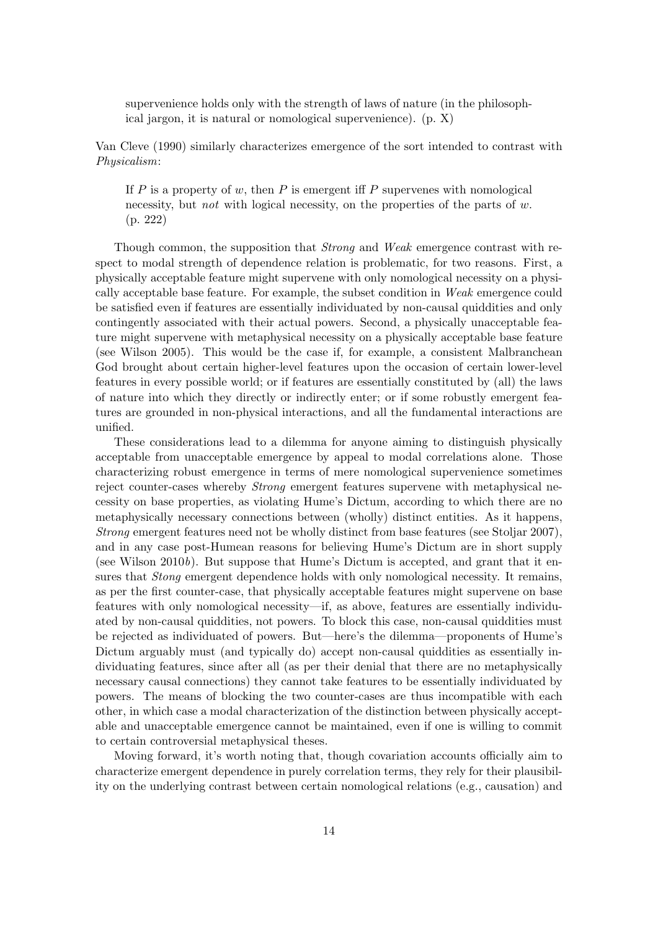supervenience holds only with the strength of laws of nature (in the philosophical jargon, it is natural or nomological supervenience). (p. X)

Van Cleve (1990) similarly characterizes emergence of the sort intended to contrast with *Physicalism*:

If  $P$  is a property of  $w$ , then  $P$  is emergent iff  $P$  supervenes with nomological necessity, but *not* with logical necessity, on the properties of the parts of *w*. (p. 222)

Though common, the supposition that *Strong* and *Weak* emergence contrast with respect to modal strength of dependence relation is problematic, for two reasons. First, a physically acceptable feature might supervene with only nomological necessity on a physically acceptable base feature. For example, the subset condition in *Weak* emergence could be satisfied even if features are essentially individuated by non-causal quiddities and only contingently associated with their actual powers. Second, a physically unacceptable feature might supervene with metaphysical necessity on a physically acceptable base feature (see Wilson 2005). This would be the case if, for example, a consistent Malbranchean God brought about certain higher-level features upon the occasion of certain lower-level features in every possible world; or if features are essentially constituted by (all) the laws of nature into which they directly or indirectly enter; or if some robustly emergent features are grounded in non-physical interactions, and all the fundamental interactions are unified.

These considerations lead to a dilemma for anyone aiming to distinguish physically acceptable from unacceptable emergence by appeal to modal correlations alone. Those characterizing robust emergence in terms of mere nomological supervenience sometimes reject counter-cases whereby *Strong* emergent features supervene with metaphysical necessity on base properties, as violating Hume's Dictum, according to which there are no metaphysically necessary connections between (wholly) distinct entities. As it happens, *Strong* emergent features need not be wholly distinct from base features (see Stoljar 2007), and in any case post-Humean reasons for believing Hume's Dictum are in short supply (see Wilson 2010*b*). But suppose that Hume's Dictum is accepted, and grant that it ensures that *Stong* emergent dependence holds with only nomological necessity. It remains, as per the first counter-case, that physically acceptable features might supervene on base features with only nomological necessity—if, as above, features are essentially individuated by non-causal quiddities, not powers. To block this case, non-causal quiddities must be rejected as individuated of powers. But—here's the dilemma—proponents of Hume's Dictum arguably must (and typically do) accept non-causal quiddities as essentially individuating features, since after all (as per their denial that there are no metaphysically necessary causal connections) they cannot take features to be essentially individuated by powers. The means of blocking the two counter-cases are thus incompatible with each other, in which case a modal characterization of the distinction between physically acceptable and unacceptable emergence cannot be maintained, even if one is willing to commit to certain controversial metaphysical theses.

Moving forward, it's worth noting that, though covariation accounts officially aim to characterize emergent dependence in purely correlation terms, they rely for their plausibility on the underlying contrast between certain nomological relations (e.g., causation) and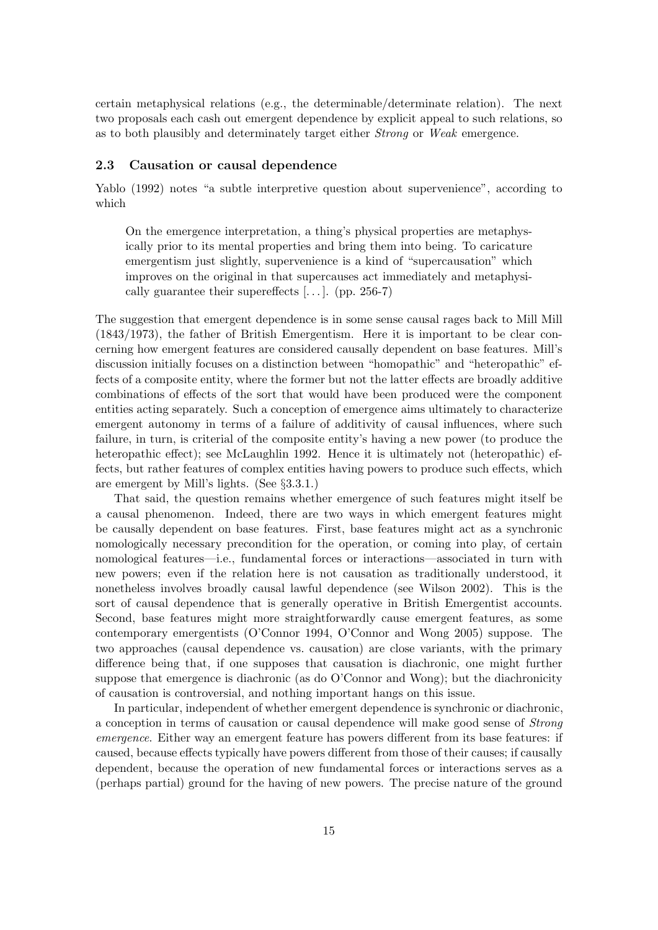certain metaphysical relations (e.g., the determinable/determinate relation). The next two proposals each cash out emergent dependence by explicit appeal to such relations, so as to both plausibly and determinately target either *Strong* or *Weak* emergence.

#### 2.3 Causation or causal dependence

Yablo (1992) notes "a subtle interpretive question about supervenience", according to which

On the emergence interpretation, a thing's physical properties are metaphysically prior to its mental properties and bring them into being. To caricature emergentism just slightly, supervenience is a kind of "supercausation" which improves on the original in that supercauses act immediately and metaphysically guarantee their supereffects  $[...]$ . (pp. 256-7)

The suggestion that emergent dependence is in some sense causal rages back to Mill Mill (1843/1973), the father of British Emergentism. Here it is important to be clear concerning how emergent features are considered causally dependent on base features. Mill's discussion initially focuses on a distinction between "homopathic" and "heteropathic" effects of a composite entity, where the former but not the latter effects are broadly additive combinations of effects of the sort that would have been produced were the component entities acting separately. Such a conception of emergence aims ultimately to characterize emergent autonomy in terms of a failure of additivity of causal influences, where such failure, in turn, is criterial of the composite entity's having a new power (to produce the heteropathic effect); see McLaughlin 1992. Hence it is ultimately not (heteropathic) effects, but rather features of complex entities having powers to produce such effects, which are emergent by Mill's lights. (See *§*3.3.1.)

That said, the question remains whether emergence of such features might itself be a causal phenomenon. Indeed, there are two ways in which emergent features might be causally dependent on base features. First, base features might act as a synchronic nomologically necessary precondition for the operation, or coming into play, of certain nomological features—i.e., fundamental forces or interactions—associated in turn with new powers; even if the relation here is not causation as traditionally understood, it nonetheless involves broadly causal lawful dependence (see Wilson 2002). This is the sort of causal dependence that is generally operative in British Emergentist accounts. Second, base features might more straightforwardly cause emergent features, as some contemporary emergentists (O'Connor 1994, O'Connor and Wong 2005) suppose. The two approaches (causal dependence vs. causation) are close variants, with the primary difference being that, if one supposes that causation is diachronic, one might further suppose that emergence is diachronic (as do O'Connor and Wong); but the diachronicity of causation is controversial, and nothing important hangs on this issue.

In particular, independent of whether emergent dependence is synchronic or diachronic, a conception in terms of causation or causal dependence will make good sense of *Strong emergence*. Either way an emergent feature has powers different from its base features: if caused, because effects typically have powers different from those of their causes; if causally dependent, because the operation of new fundamental forces or interactions serves as a (perhaps partial) ground for the having of new powers. The precise nature of the ground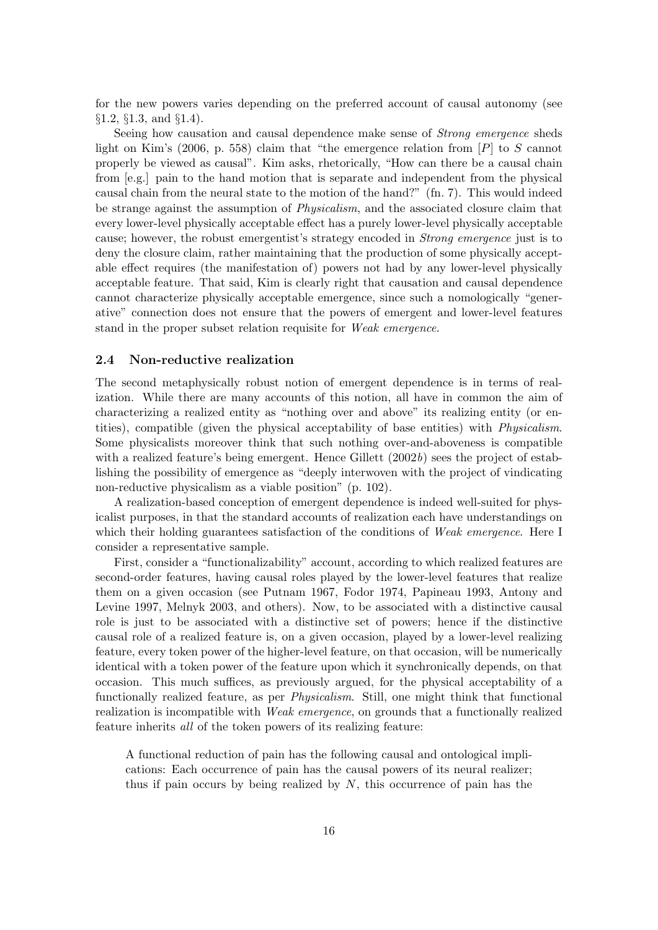for the new powers varies depending on the preferred account of causal autonomy (see *§*1.2, *§*1.3, and *§*1.4).

Seeing how causation and causal dependence make sense of *Strong emergence* sheds light on Kim's (2006, p. 558) claim that "the emergence relation from [*P*] to *S* cannot properly be viewed as causal". Kim asks, rhetorically, "How can there be a causal chain from [e.g.] pain to the hand motion that is separate and independent from the physical causal chain from the neural state to the motion of the hand?" (fn. 7). This would indeed be strange against the assumption of *Physicalism*, and the associated closure claim that every lower-level physically acceptable effect has a purely lower-level physically acceptable cause; however, the robust emergentist's strategy encoded in *Strong emergence* just is to deny the closure claim, rather maintaining that the production of some physically acceptable effect requires (the manifestation of) powers not had by any lower-level physically acceptable feature. That said, Kim is clearly right that causation and causal dependence cannot characterize physically acceptable emergence, since such a nomologically "generative" connection does not ensure that the powers of emergent and lower-level features stand in the proper subset relation requisite for *Weak emergence*.

#### 2.4 Non-reductive realization

The second metaphysically robust notion of emergent dependence is in terms of realization. While there are many accounts of this notion, all have in common the aim of characterizing a realized entity as "nothing over and above" its realizing entity (or entities), compatible (given the physical acceptability of base entities) with *Physicalism*. Some physicalists moreover think that such nothing over-and-aboveness is compatible with a realized feature's being emergent. Hence Gillett (2002*b*) sees the project of establishing the possibility of emergence as "deeply interwoven with the project of vindicating non-reductive physicalism as a viable position" (p. 102).

A realization-based conception of emergent dependence is indeed well-suited for physicalist purposes, in that the standard accounts of realization each have understandings on which their holding guarantees satisfaction of the conditions of *Weak emergence*. Here I consider a representative sample.

First, consider a "functionalizability" account, according to which realized features are second-order features, having causal roles played by the lower-level features that realize them on a given occasion (see Putnam 1967, Fodor 1974, Papineau 1993, Antony and Levine 1997, Melnyk 2003, and others). Now, to be associated with a distinctive causal role is just to be associated with a distinctive set of powers; hence if the distinctive causal role of a realized feature is, on a given occasion, played by a lower-level realizing feature, every token power of the higher-level feature, on that occasion, will be numerically identical with a token power of the feature upon which it synchronically depends, on that occasion. This much suffices, as previously argued, for the physical acceptability of a functionally realized feature, as per *Physicalism*. Still, one might think that functional realization is incompatible with *Weak emergence*, on grounds that a functionally realized feature inherits *all* of the token powers of its realizing feature:

A functional reduction of pain has the following causal and ontological implications: Each occurrence of pain has the causal powers of its neural realizer; thus if pain occurs by being realized by *N*, this occurrence of pain has the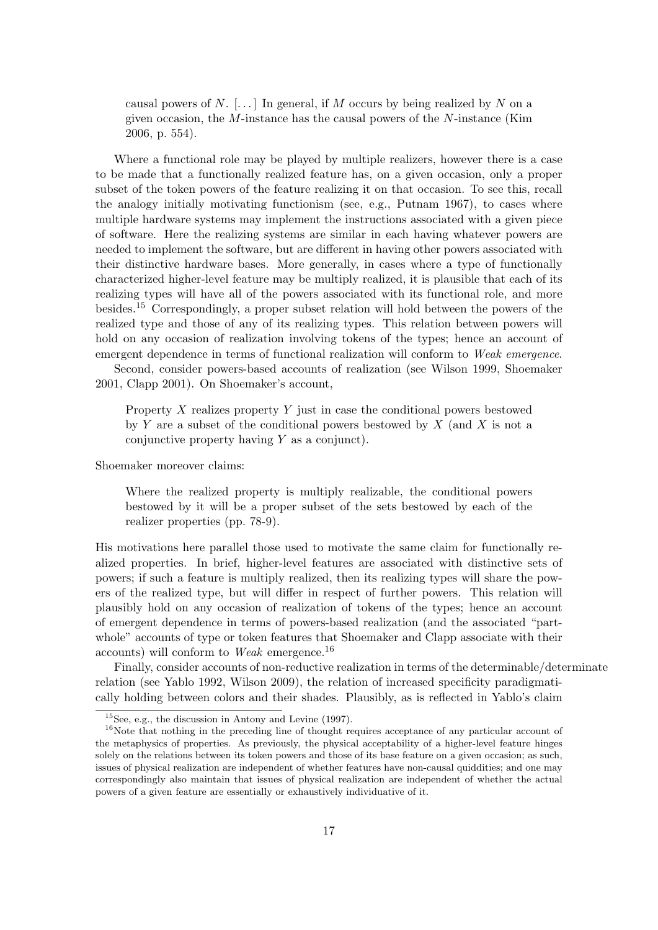causal powers of N.  $[\dots]$  In general, if M occurs by being realized by N on a given occasion, the *M*-instance has the causal powers of the *N*-instance (Kim 2006, p. 554).

Where a functional role may be played by multiple realizers, however there is a case to be made that a functionally realized feature has, on a given occasion, only a proper subset of the token powers of the feature realizing it on that occasion. To see this, recall the analogy initially motivating functionism (see, e.g., Putnam 1967), to cases where multiple hardware systems may implement the instructions associated with a given piece of software. Here the realizing systems are similar in each having whatever powers are needed to implement the software, but are different in having other powers associated with their distinctive hardware bases. More generally, in cases where a type of functionally characterized higher-level feature may be multiply realized, it is plausible that each of its realizing types will have all of the powers associated with its functional role, and more besides.<sup>15</sup> Correspondingly, a proper subset relation will hold between the powers of the realized type and those of any of its realizing types. This relation between powers will hold on any occasion of realization involving tokens of the types; hence an account of emergent dependence in terms of functional realization will conform to *Weak emergence*.

Second, consider powers-based accounts of realization (see Wilson 1999, Shoemaker 2001, Clapp 2001). On Shoemaker's account,

Property *X* realizes property *Y* just in case the conditional powers bestowed by *Y* are a subset of the conditional powers bestowed by *X* (and *X* is not a conjunctive property having *Y* as a conjunct).

Shoemaker moreover claims:

Where the realized property is multiply realizable, the conditional powers bestowed by it will be a proper subset of the sets bestowed by each of the realizer properties (pp. 78-9).

His motivations here parallel those used to motivate the same claim for functionally realized properties. In brief, higher-level features are associated with distinctive sets of powers; if such a feature is multiply realized, then its realizing types will share the powers of the realized type, but will differ in respect of further powers. This relation will plausibly hold on any occasion of realization of tokens of the types; hence an account of emergent dependence in terms of powers-based realization (and the associated "partwhole" accounts of type or token features that Shoemaker and Clapp associate with their accounts) will conform to *Weak* emergence.<sup>16</sup>

Finally, consider accounts of non-reductive realization in terms of the determinable/determinate relation (see Yablo 1992, Wilson 2009), the relation of increased specificity paradigmatically holding between colors and their shades. Plausibly, as is reflected in Yablo's claim

<sup>15</sup>See, e.g., the discussion in Antony and Levine (1997).

<sup>&</sup>lt;sup>16</sup>Note that nothing in the preceding line of thought requires acceptance of any particular account of the metaphysics of properties. As previously, the physical acceptability of a higher-level feature hinges solely on the relations between its token powers and those of its base feature on a given occasion; as such, issues of physical realization are independent of whether features have non-causal quiddities; and one may correspondingly also maintain that issues of physical realization are independent of whether the actual powers of a given feature are essentially or exhaustively individuative of it.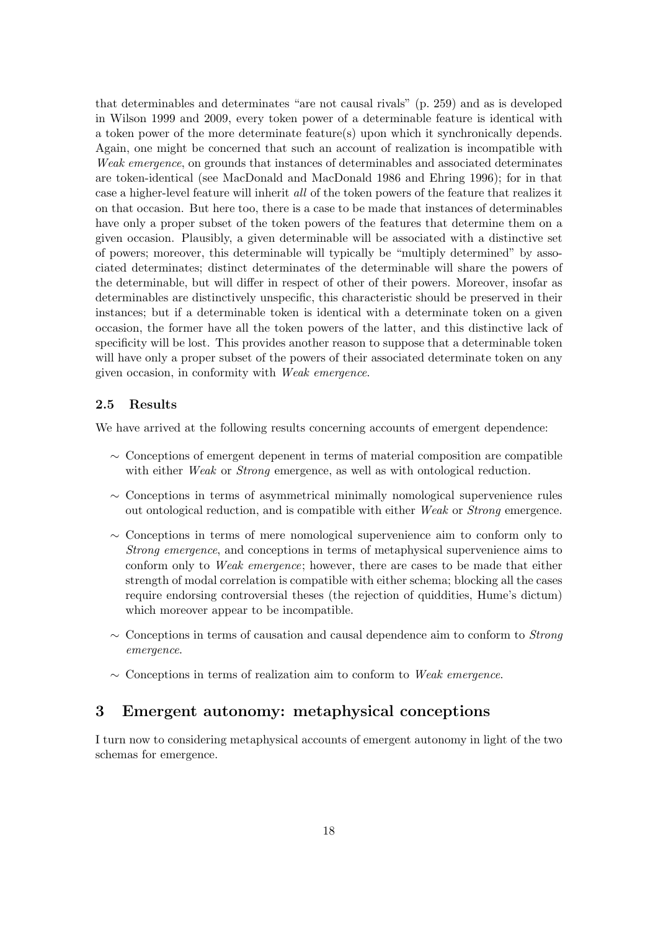that determinables and determinates "are not causal rivals" (p. 259) and as is developed in Wilson 1999 and 2009, every token power of a determinable feature is identical with a token power of the more determinate feature(s) upon which it synchronically depends. Again, one might be concerned that such an account of realization is incompatible with *Weak emergence*, on grounds that instances of determinables and associated determinates are token-identical (see MacDonald and MacDonald 1986 and Ehring 1996); for in that case a higher-level feature will inherit *all* of the token powers of the feature that realizes it on that occasion. But here too, there is a case to be made that instances of determinables have only a proper subset of the token powers of the features that determine them on a given occasion. Plausibly, a given determinable will be associated with a distinctive set of powers; moreover, this determinable will typically be "multiply determined" by associated determinates; distinct determinates of the determinable will share the powers of the determinable, but will differ in respect of other of their powers. Moreover, insofar as determinables are distinctively unspecific, this characteristic should be preserved in their instances; but if a determinable token is identical with a determinate token on a given occasion, the former have all the token powers of the latter, and this distinctive lack of specificity will be lost. This provides another reason to suppose that a determinable token will have only a proper subset of the powers of their associated determinate token on any given occasion, in conformity with *Weak emergence*.

### 2.5 Results

We have arrived at the following results concerning accounts of emergent dependence:

- $\sim$  Conceptions of emergent depenent in terms of material composition are compatible with either *Weak* or *Strong* emergence, as well as with ontological reduction.
- $\sim$  Conceptions in terms of asymmetrical minimally nomological supervenience rules out ontological reduction, and is compatible with either *Weak* or *Strong* emergence.
- $\sim$  Conceptions in terms of mere nomological supervenience aim to conform only to *Strong emergence*, and conceptions in terms of metaphysical supervenience aims to conform only to *Weak emergence*; however, there are cases to be made that either strength of modal correlation is compatible with either schema; blocking all the cases require endorsing controversial theses (the rejection of quiddities, Hume's dictum) which moreover appear to be incompatible.
- $\sim$  Conceptions in terms of causation and causal dependence aim to conform to *Strong emergence*.
- $\sim$  Conceptions in terms of realization aim to conform to *Weak emergence*.

## 3 Emergent autonomy: metaphysical conceptions

I turn now to considering metaphysical accounts of emergent autonomy in light of the two schemas for emergence.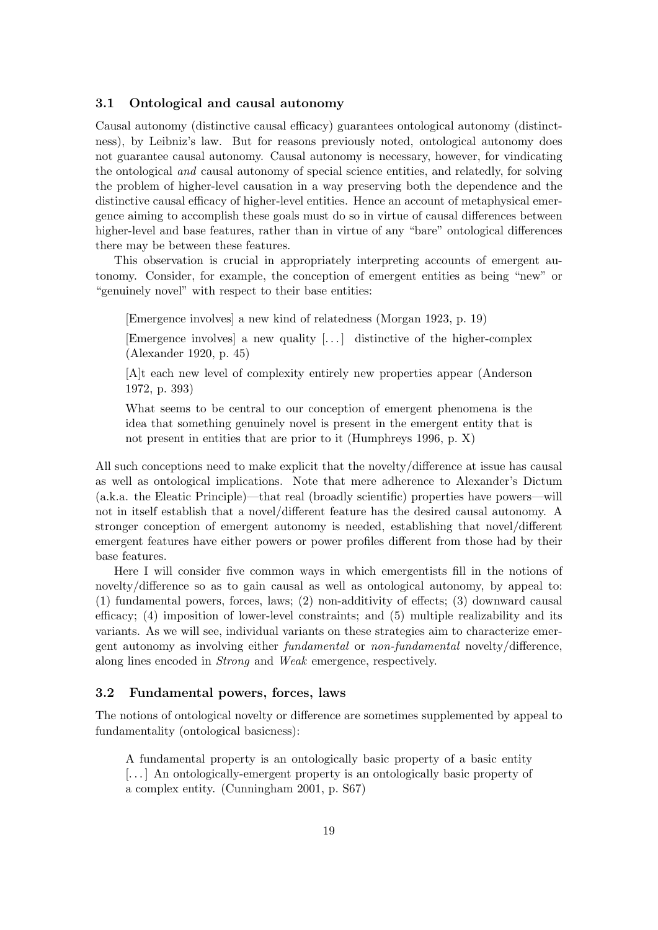#### 3.1 Ontological and causal autonomy

Causal autonomy (distinctive causal efficacy) guarantees ontological autonomy (distinctness), by Leibniz's law. But for reasons previously noted, ontological autonomy does not guarantee causal autonomy. Causal autonomy is necessary, however, for vindicating the ontological *and* causal autonomy of special science entities, and relatedly, for solving the problem of higher-level causation in a way preserving both the dependence and the distinctive causal efficacy of higher-level entities. Hence an account of metaphysical emergence aiming to accomplish these goals must do so in virtue of causal differences between higher-level and base features, rather than in virtue of any "bare" ontological differences there may be between these features.

This observation is crucial in appropriately interpreting accounts of emergent autonomy. Consider, for example, the conception of emergent entities as being "new" or "genuinely novel" with respect to their base entities:

[Emergence involves] a new kind of relatedness (Morgan 1923, p. 19)

[Emergence involves] a new quality [. . . ] distinctive of the higher-complex (Alexander 1920, p. 45)

[A]t each new level of complexity entirely new properties appear (Anderson 1972, p. 393)

What seems to be central to our conception of emergent phenomena is the idea that something genuinely novel is present in the emergent entity that is not present in entities that are prior to it (Humphreys 1996, p. X)

All such conceptions need to make explicit that the novelty/difference at issue has causal as well as ontological implications. Note that mere adherence to Alexander's Dictum (a.k.a. the Eleatic Principle)—that real (broadly scientific) properties have powers—will not in itself establish that a novel/different feature has the desired causal autonomy. A stronger conception of emergent autonomy is needed, establishing that novel/different emergent features have either powers or power profiles different from those had by their base features.

Here I will consider five common ways in which emergentists fill in the notions of novelty/difference so as to gain causal as well as ontological autonomy, by appeal to:  $(1)$  fundamental powers, forces, laws;  $(2)$  non-additivity of effects;  $(3)$  downward causal efficacy; (4) imposition of lower-level constraints; and  $(5)$  multiple realizability and its variants. As we will see, individual variants on these strategies aim to characterize emergent autonomy as involving either *fundamental* or *non-fundamental* novelty/difference, along lines encoded in *Strong* and *Weak* emergence, respectively.

#### 3.2 Fundamental powers, forces, laws

The notions of ontological novelty or difference are sometimes supplemented by appeal to fundamentality (ontological basicness):

A fundamental property is an ontologically basic property of a basic entity [. . . ] An ontologically-emergent property is an ontologically basic property of a complex entity. (Cunningham 2001, p. S67)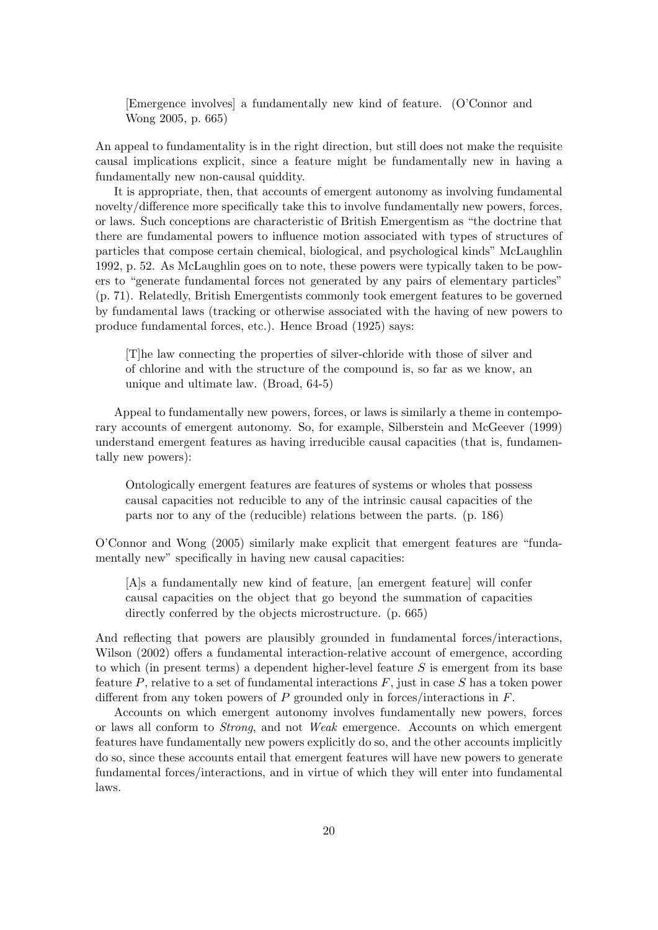[Emergence involves] a fundamentally new kind of feature. (O'Connor and Wong 2005, p. 665)

An appeal to fundamentality is in the right direction, but still does not make the requisite causal implications explicit, since a feature might be fundamentally new in having a fundamentally new non-causal quiddity.

It is appropriate, then, that accounts of emergent autonomy as involving fundamental novelty/difference more specifically take this to involve fundamentally new powers, forces, or laws. Such conceptions are characteristic of British Emergentism as "the doctrine that there are fundamental powers to influence motion associated with types of structures of particles that compose certain chemical, biological, and psychological kinds" McLaughlin 1992, p. 52. As McLaughlin goes on to note, these powers were typically taken to be powers to "generate fundamental forces not generated by any pairs of elementary particles" (p. 71). Relatedly, British Emergentists commonly took emergent features to be governed by fundamental laws (tracking or otherwise associated with the having of new powers to produce fundamental forces, etc.). Hence Broad (1925) says:

[T]he law connecting the properties of silver-chloride with those of silver and of chlorine and with the structure of the compound is, so far as we know, an unique and ultimate law. (Broad, 64-5)

Appeal to fundamentally new powers, forces, or laws is similarly a theme in contemporary accounts of emergent autonomy. So, for example, Silberstein and McGeever (1999) understand emergent features as having irreducible causal capacities (that is, fundamentally new powers):

Ontologically emergent features are features of systems or wholes that possess causal capacities not reducible to any of the intrinsic causal capacities of the parts nor to any of the (reducible) relations between the parts. (p. 186)

O'Connor and Wong (2005) similarly make explicit that emergent features are "fundamentally new" specifically in having new causal capacities:

[A]s a fundamentally new kind of feature, [an emergent feature] will confer causal capacities on the object that go beyond the summation of capacities directly conferred by the objects microstructure. (p. 665)

And reflecting that powers are plausibly grounded in fundamental forces/interactions, Wilson (2002) offers a fundamental interaction-relative account of emergence, according to which (in present terms) a dependent higher-level feature *S* is emergent from its base feature *P*, relative to a set of fundamental interactions *F*, just in case *S* has a token power different from any token powers of  $P$  grounded only in forces/interactions in  $F$ .

Accounts on which emergent autonomy involves fundamentally new powers, forces or laws all conform to *Strong*, and not *Weak* emergence. Accounts on which emergent features have fundamentally new powers explicitly do so, and the other accounts implicitly do so, since these accounts entail that emergent features will have new powers to generate fundamental forces/interactions, and in virtue of which they will enter into fundamental laws.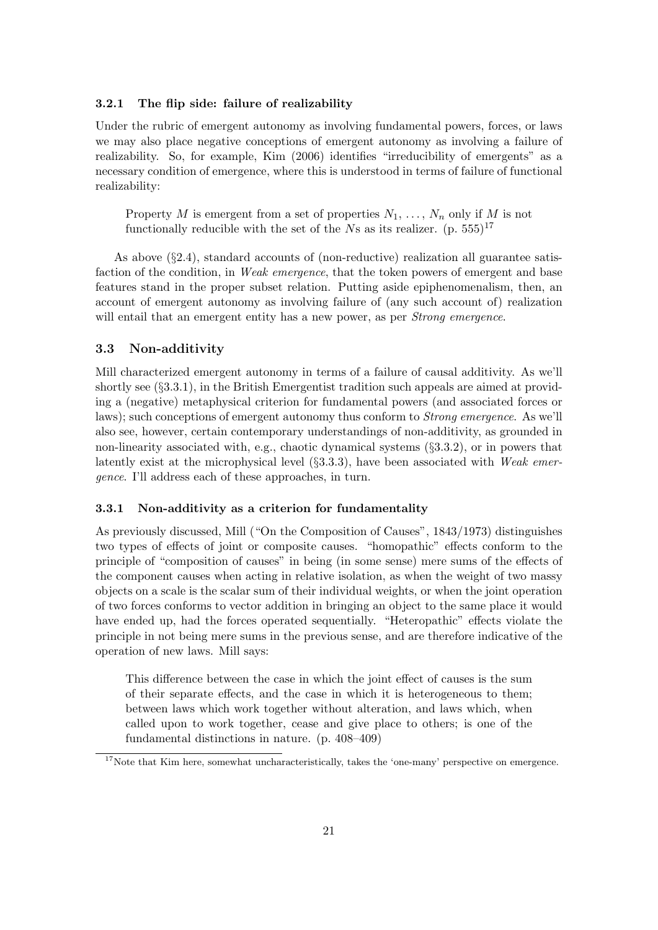#### 3.2.1 The flip side: failure of realizability

Under the rubric of emergent autonomy as involving fundamental powers, forces, or laws we may also place negative conceptions of emergent autonomy as involving a failure of realizability. So, for example, Kim (2006) identifies "irreducibility of emergents" as a necessary condition of emergence, where this is understood in terms of failure of functional realizability:

Property *M* is emergent from a set of properties  $N_1, \ldots, N_n$  only if *M* is not functionally reducible with the set of the  $N$ s as its realizer. (p. 555)<sup>17</sup>

As above (*§*2.4), standard accounts of (non-reductive) realization all guarantee satisfaction of the condition, in *Weak emergence*, that the token powers of emergent and base features stand in the proper subset relation. Putting aside epiphenomenalism, then, an account of emergent autonomy as involving failure of (any such account of) realization will entail that an emergent entity has a new power, as per *Strong emergence*.

#### 3.3 Non-additivity

Mill characterized emergent autonomy in terms of a failure of causal additivity. As we'll shortly see (*§*3.3.1), in the British Emergentist tradition such appeals are aimed at providing a (negative) metaphysical criterion for fundamental powers (and associated forces or laws); such conceptions of emergent autonomy thus conform to *Strong emergence*. As we'll also see, however, certain contemporary understandings of non-additivity, as grounded in non-linearity associated with, e.g., chaotic dynamical systems (*§*3.3.2), or in powers that latently exist at the microphysical level (*§*3.3.3), have been associated with *Weak emergence*. I'll address each of these approaches, in turn.

#### 3.3.1 Non-additivity as a criterion for fundamentality

As previously discussed, Mill ("On the Composition of Causes", 1843/1973) distinguishes two types of effects of joint or composite causes. "homopathic" effects conform to the principle of "composition of causes" in being (in some sense) mere sums of the effects of the component causes when acting in relative isolation, as when the weight of two massy objects on a scale is the scalar sum of their individual weights, or when the joint operation of two forces conforms to vector addition in bringing an object to the same place it would have ended up, had the forces operated sequentially. "Heteropathic" effects violate the principle in not being mere sums in the previous sense, and are therefore indicative of the operation of new laws. Mill says:

This difference between the case in which the joint effect of causes is the sum of their separate effects, and the case in which it is heterogeneous to them; between laws which work together without alteration, and laws which, when called upon to work together, cease and give place to others; is one of the fundamental distinctions in nature. (p. 408–409)

<sup>&</sup>lt;sup>17</sup>Note that Kim here, somewhat uncharacteristically, takes the 'one-many' perspective on emergence.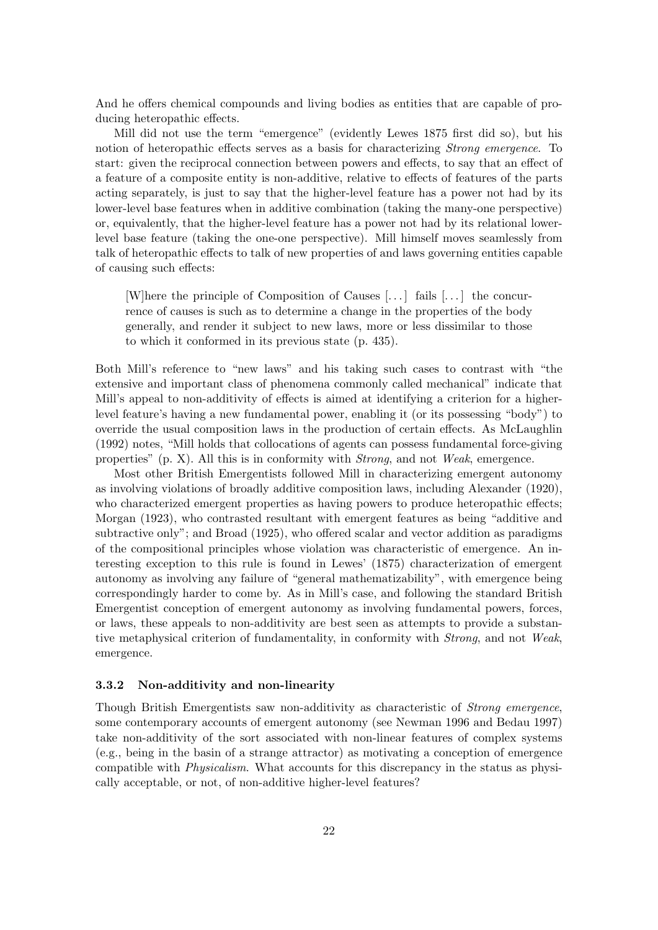And he offers chemical compounds and living bodies as entities that are capable of producing heteropathic effects.

Mill did not use the term "emergence" (evidently Lewes 1875 first did so), but his notion of heteropathic effects serves as a basis for characterizing *Strong emergence*. To start: given the reciprocal connection between powers and effects, to say that an effect of a feature of a composite entity is non-additive, relative to effects of features of the parts acting separately, is just to say that the higher-level feature has a power not had by its lower-level base features when in additive combination (taking the many-one perspective) or, equivalently, that the higher-level feature has a power not had by its relational lowerlevel base feature (taking the one-one perspective). Mill himself moves seamlessly from talk of heteropathic effects to talk of new properties of and laws governing entities capable of causing such effects:

[W]here the principle of Composition of Causes [. . . ] fails [. . . ] the concurrence of causes is such as to determine a change in the properties of the body generally, and render it subject to new laws, more or less dissimilar to those to which it conformed in its previous state (p. 435).

Both Mill's reference to "new laws" and his taking such cases to contrast with "the extensive and important class of phenomena commonly called mechanical" indicate that Mill's appeal to non-additivity of effects is aimed at identifying a criterion for a higherlevel feature's having a new fundamental power, enabling it (or its possessing "body") to override the usual composition laws in the production of certain effects. As McLaughlin (1992) notes, "Mill holds that collocations of agents can possess fundamental force-giving properties" (p. X). All this is in conformity with *Strong*, and not *Weak*, emergence.

Most other British Emergentists followed Mill in characterizing emergent autonomy as involving violations of broadly additive composition laws, including Alexander (1920), who characterized emergent properties as having powers to produce heteropathic effects; Morgan (1923), who contrasted resultant with emergent features as being "additive and subtractive only"; and Broad  $(1925)$ , who offered scalar and vector addition as paradigms of the compositional principles whose violation was characteristic of emergence. An interesting exception to this rule is found in Lewes' (1875) characterization of emergent autonomy as involving any failure of "general mathematizability", with emergence being correspondingly harder to come by. As in Mill's case, and following the standard British Emergentist conception of emergent autonomy as involving fundamental powers, forces, or laws, these appeals to non-additivity are best seen as attempts to provide a substantive metaphysical criterion of fundamentality, in conformity with *Strong*, and not *Weak*, emergence.

#### 3.3.2 Non-additivity and non-linearity

Though British Emergentists saw non-additivity as characteristic of *Strong emergence*, some contemporary accounts of emergent autonomy (see Newman 1996 and Bedau 1997) take non-additivity of the sort associated with non-linear features of complex systems (e.g., being in the basin of a strange attractor) as motivating a conception of emergence compatible with *Physicalism*. What accounts for this discrepancy in the status as physically acceptable, or not, of non-additive higher-level features?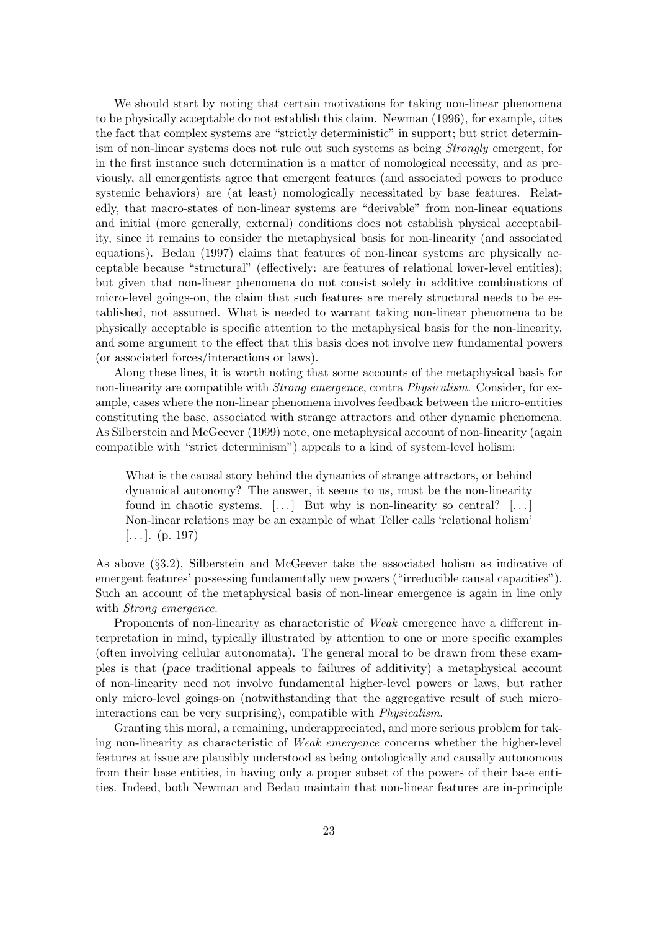We should start by noting that certain motivations for taking non-linear phenomena to be physically acceptable do not establish this claim. Newman (1996), for example, cites the fact that complex systems are "strictly deterministic" in support; but strict determinism of non-linear systems does not rule out such systems as being *Strongly* emergent, for in the first instance such determination is a matter of nomological necessity, and as previously, all emergentists agree that emergent features (and associated powers to produce systemic behaviors) are (at least) nomologically necessitated by base features. Relatedly, that macro-states of non-linear systems are "derivable" from non-linear equations and initial (more generally, external) conditions does not establish physical acceptability, since it remains to consider the metaphysical basis for non-linearity (and associated equations). Bedau (1997) claims that features of non-linear systems are physically acceptable because "structural" (effectively: are features of relational lower-level entities); but given that non-linear phenomena do not consist solely in additive combinations of micro-level goings-on, the claim that such features are merely structural needs to be established, not assumed. What is needed to warrant taking non-linear phenomena to be physically acceptable is specific attention to the metaphysical basis for the non-linearity, and some argument to the effect that this basis does not involve new fundamental powers (or associated forces/interactions or laws).

Along these lines, it is worth noting that some accounts of the metaphysical basis for non-linearity are compatible with *Strong emergence*, contra *Physicalism*. Consider, for example, cases where the non-linear phenomena involves feedback between the micro-entities constituting the base, associated with strange attractors and other dynamic phenomena. As Silberstein and McGeever (1999) note, one metaphysical account of non-linearity (again compatible with "strict determinism") appeals to a kind of system-level holism:

What is the causal story behind the dynamics of strange attractors, or behind dynamical autonomy? The answer, it seems to us, must be the non-linearity found in chaotic systems.  $[\dots]$  But why is non-linearity so central?  $[\dots]$ Non-linear relations may be an example of what Teller calls 'relational holism' [...]. (p. 197)

As above (*§*3.2), Silberstein and McGeever take the associated holism as indicative of emergent features' possessing fundamentally new powers ("irreducible causal capacities"). Such an account of the metaphysical basis of non-linear emergence is again in line only with *Strong emergence*.

Proponents of non-linearity as characteristic of *Weak* emergence have a different interpretation in mind, typically illustrated by attention to one or more specific examples (often involving cellular autonomata). The general moral to be drawn from these examples is that (*pace* traditional appeals to failures of additivity) a metaphysical account of non-linearity need not involve fundamental higher-level powers or laws, but rather only micro-level goings-on (notwithstanding that the aggregative result of such microinteractions can be very surprising), compatible with *Physicalism*.

Granting this moral, a remaining, underappreciated, and more serious problem for taking non-linearity as characteristic of *Weak emergence* concerns whether the higher-level features at issue are plausibly understood as being ontologically and causally autonomous from their base entities, in having only a proper subset of the powers of their base entities. Indeed, both Newman and Bedau maintain that non-linear features are in-principle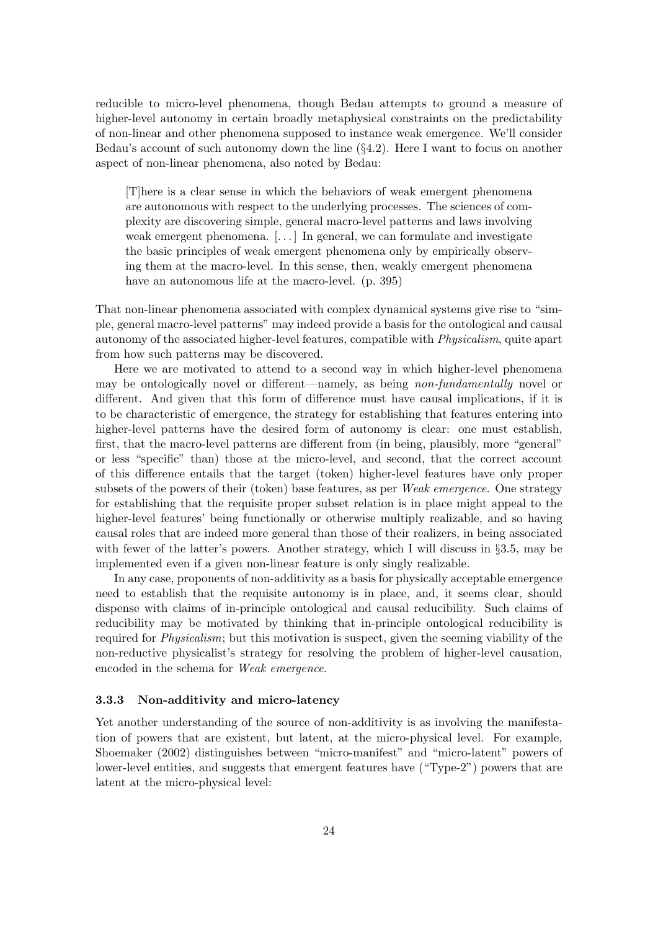reducible to micro-level phenomena, though Bedau attempts to ground a measure of higher-level autonomy in certain broadly metaphysical constraints on the predictability of non-linear and other phenomena supposed to instance weak emergence. We'll consider Bedau's account of such autonomy down the line (*§*4.2). Here I want to focus on another aspect of non-linear phenomena, also noted by Bedau:

[T]here is a clear sense in which the behaviors of weak emergent phenomena are autonomous with respect to the underlying processes. The sciences of complexity are discovering simple, general macro-level patterns and laws involving weak emergent phenomena. [...] In general, we can formulate and investigate the basic principles of weak emergent phenomena only by empirically observing them at the macro-level. In this sense, then, weakly emergent phenomena have an autonomous life at the macro-level. (p. 395)

That non-linear phenomena associated with complex dynamical systems give rise to "simple, general macro-level patterns" may indeed provide a basis for the ontological and causal autonomy of the associated higher-level features, compatible with *Physicalism*, quite apart from how such patterns may be discovered.

Here we are motivated to attend to a second way in which higher-level phenomena may be ontologically novel or different—namely, as being *non-fundamentally* novel or different. And given that this form of difference must have causal implications, if it is to be characteristic of emergence, the strategy for establishing that features entering into higher-level patterns have the desired form of autonomy is clear: one must establish, first, that the macro-level patterns are different from (in being, plausibly, more "general" or less "specific" than) those at the micro-level, and second, that the correct account of this difference entails that the target (token) higher-level features have only proper subsets of the powers of their (token) base features, as per *Weak emergence*. One strategy for establishing that the requisite proper subset relation is in place might appeal to the higher-level features' being functionally or otherwise multiply realizable, and so having causal roles that are indeed more general than those of their realizers, in being associated with fewer of the latter's powers. Another strategy, which I will discuss in *§*3.5, may be implemented even if a given non-linear feature is only singly realizable.

In any case, proponents of non-additivity as a basis for physically acceptable emergence need to establish that the requisite autonomy is in place, and, it seems clear, should dispense with claims of in-principle ontological and causal reducibility. Such claims of reducibility may be motivated by thinking that in-principle ontological reducibility is required for *Physicalism*; but this motivation is suspect, given the seeming viability of the non-reductive physicalist's strategy for resolving the problem of higher-level causation, encoded in the schema for *Weak emergence*.

#### 3.3.3 Non-additivity and micro-latency

Yet another understanding of the source of non-additivity is as involving the manifestation of powers that are existent, but latent, at the micro-physical level. For example, Shoemaker (2002) distinguishes between "micro-manifest" and "micro-latent" powers of lower-level entities, and suggests that emergent features have ("Type-2") powers that are latent at the micro-physical level: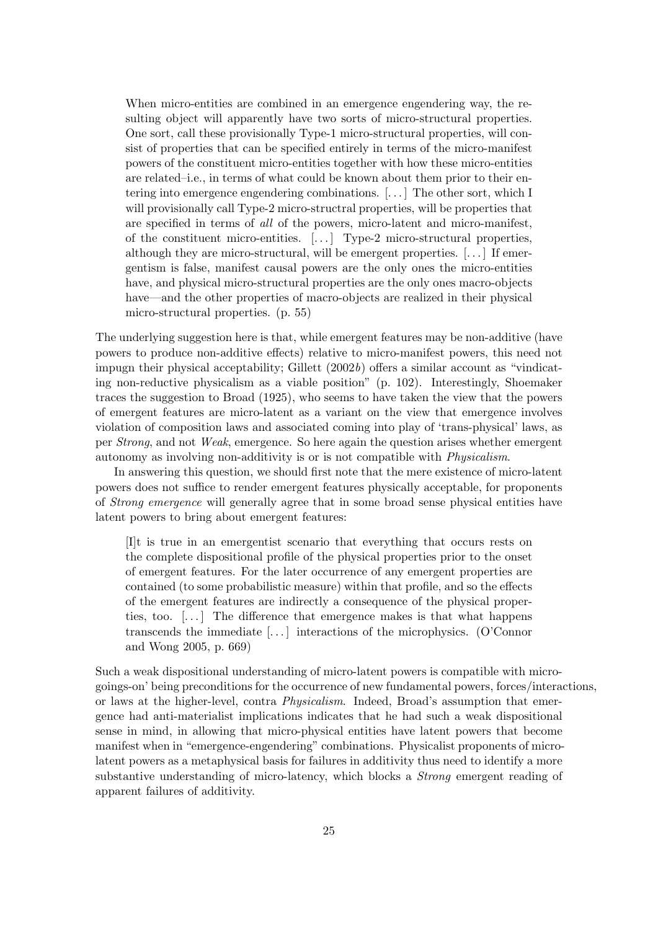When micro-entities are combined in an emergence engendering way, the resulting object will apparently have two sorts of micro-structural properties. One sort, call these provisionally Type-1 micro-structural properties, will consist of properties that can be specified entirely in terms of the micro-manifest powers of the constituent micro-entities together with how these micro-entities are related–i.e., in terms of what could be known about them prior to their entering into emergence engendering combinations. [. . . ] The other sort, which I will provisionally call Type-2 micro-structral properties, will be properties that are specified in terms of *all* of the powers, micro-latent and micro-manifest, of the constituent micro-entities. [. . . ] Type-2 micro-structural properties, although they are micro-structural, will be emergent properties. [. . . ] If emergentism is false, manifest causal powers are the only ones the micro-entities have, and physical micro-structural properties are the only ones macro-objects have—and the other properties of macro-objects are realized in their physical micro-structural properties. (p. 55)

The underlying suggestion here is that, while emergent features may be non-additive (have powers to produce non-additive effects) relative to micro-manifest powers, this need not impugn their physical acceptability; Gillett  $(2002b)$  offers a similar account as "vindicating non-reductive physicalism as a viable position" (p. 102). Interestingly, Shoemaker traces the suggestion to Broad (1925), who seems to have taken the view that the powers of emergent features are micro-latent as a variant on the view that emergence involves violation of composition laws and associated coming into play of 'trans-physical' laws, as per *Strong*, and not *Weak*, emergence. So here again the question arises whether emergent autonomy as involving non-additivity is or is not compatible with *Physicalism*.

In answering this question, we should first note that the mere existence of micro-latent powers does not suffice to render emergent features physically acceptable, for proponents of *Strong emergence* will generally agree that in some broad sense physical entities have latent powers to bring about emergent features:

[I]t is true in an emergentist scenario that everything that occurs rests on the complete dispositional profile of the physical properties prior to the onset of emergent features. For the later occurrence of any emergent properties are contained (to some probabilistic measure) within that profile, and so the effects of the emergent features are indirectly a consequence of the physical properties, too.  $[\dots]$  The difference that emergence makes is that what happens transcends the immediate  $[\dots]$  interactions of the microphysics. (O'Connor and Wong 2005, p. 669)

Such a weak dispositional understanding of micro-latent powers is compatible with microgoings-on' being preconditions for the occurrence of new fundamental powers, forces/interactions, or laws at the higher-level, contra *Physicalism*. Indeed, Broad's assumption that emergence had anti-materialist implications indicates that he had such a weak dispositional sense in mind, in allowing that micro-physical entities have latent powers that become manifest when in "emergence-engendering" combinations. Physicalist proponents of microlatent powers as a metaphysical basis for failures in additivity thus need to identify a more substantive understanding of micro-latency, which blocks a *Strong* emergent reading of apparent failures of additivity.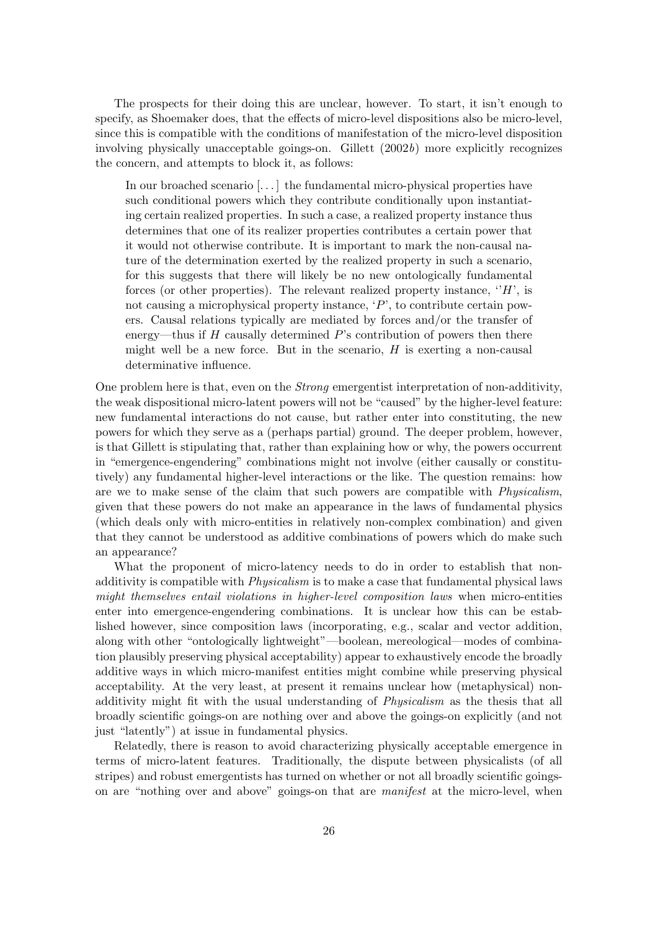The prospects for their doing this are unclear, however. To start, it isn't enough to specify, as Shoemaker does, that the effects of micro-level dispositions also be micro-level, since this is compatible with the conditions of manifestation of the micro-level disposition involving physically unacceptable goings-on. Gillett (2002*b*) more explicitly recognizes the concern, and attempts to block it, as follows:

In our broached scenario [...] the fundamental micro-physical properties have such conditional powers which they contribute conditionally upon instantiating certain realized properties. In such a case, a realized property instance thus determines that one of its realizer properties contributes a certain power that it would not otherwise contribute. It is important to mark the non-causal nature of the determination exerted by the realized property in such a scenario, for this suggests that there will likely be no new ontologically fundamental forces (or other properties). The relevant realized property instance, ''*H*', is not causing a microphysical property instance, '*P*', to contribute certain powers. Causal relations typically are mediated by forces and/or the transfer of energy—thus if *H* causally determined *P*'s contribution of powers then there might well be a new force. But in the scenario, *H* is exerting a non-causal determinative influence.

One problem here is that, even on the *Strong* emergentist interpretation of non-additivity, the weak dispositional micro-latent powers will not be "caused" by the higher-level feature: new fundamental interactions do not cause, but rather enter into constituting, the new powers for which they serve as a (perhaps partial) ground. The deeper problem, however, is that Gillett is stipulating that, rather than explaining how or why, the powers occurrent in "emergence-engendering" combinations might not involve (either causally or constitutively) any fundamental higher-level interactions or the like. The question remains: how are we to make sense of the claim that such powers are compatible with *Physicalism*, given that these powers do not make an appearance in the laws of fundamental physics (which deals only with micro-entities in relatively non-complex combination) and given that they cannot be understood as additive combinations of powers which do make such an appearance?

What the proponent of micro-latency needs to do in order to establish that nonadditivity is compatible with *Physicalism* is to make a case that fundamental physical laws *might themselves entail violations in higher-level composition laws* when micro-entities enter into emergence-engendering combinations. It is unclear how this can be established however, since composition laws (incorporating, e.g., scalar and vector addition, along with other "ontologically lightweight"—boolean, mereological—modes of combination plausibly preserving physical acceptability) appear to exhaustively encode the broadly additive ways in which micro-manifest entities might combine while preserving physical acceptability. At the very least, at present it remains unclear how (metaphysical) nonadditivity might fit with the usual understanding of *Physicalism* as the thesis that all broadly scientific goings-on are nothing over and above the goings-on explicitly (and not just "latently") at issue in fundamental physics.

Relatedly, there is reason to avoid characterizing physically acceptable emergence in terms of micro-latent features. Traditionally, the dispute between physicalists (of all stripes) and robust emergentists has turned on whether or not all broadly scientific goingson are "nothing over and above" goings-on that are *manifest* at the micro-level, when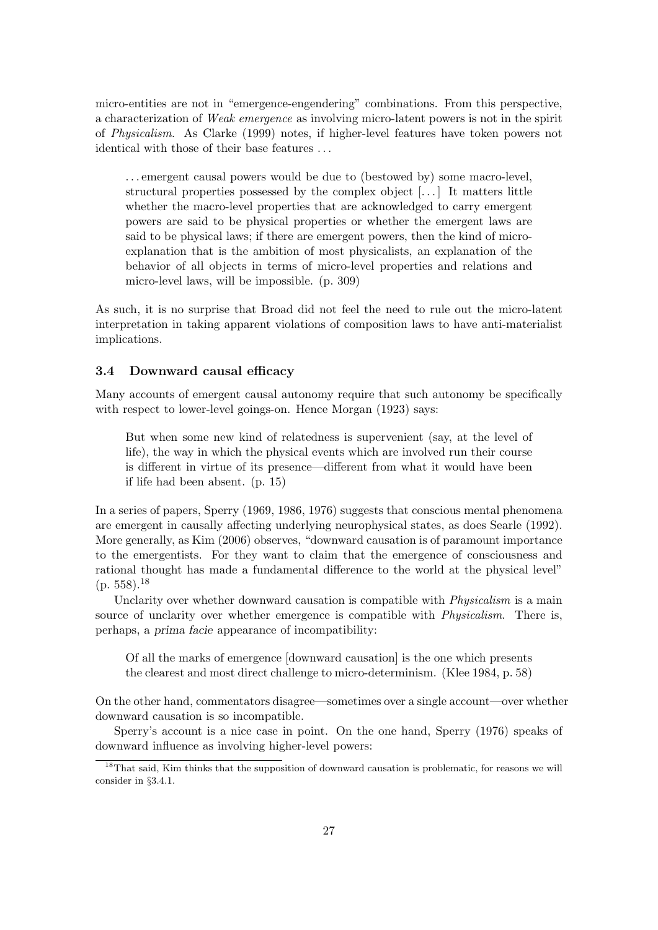micro-entities are not in "emergence-engendering" combinations. From this perspective, a characterization of *Weak emergence* as involving micro-latent powers is not in the spirit of *Physicalism*. As Clarke (1999) notes, if higher-level features have token powers not identical with those of their base features . . .

. . . emergent causal powers would be due to (bestowed by) some macro-level, structural properties possessed by the complex object [. . . ] It matters little whether the macro-level properties that are acknowledged to carry emergent powers are said to be physical properties or whether the emergent laws are said to be physical laws; if there are emergent powers, then the kind of microexplanation that is the ambition of most physicalists, an explanation of the behavior of all objects in terms of micro-level properties and relations and micro-level laws, will be impossible. (p. 309)

As such, it is no surprise that Broad did not feel the need to rule out the micro-latent interpretation in taking apparent violations of composition laws to have anti-materialist implications.

#### 3.4 Downward causal efficacy

Many accounts of emergent causal autonomy require that such autonomy be specifically with respect to lower-level goings-on. Hence Morgan (1923) says:

But when some new kind of relatedness is supervenient (say, at the level of life), the way in which the physical events which are involved run their course is different in virtue of its presence—different from what it would have been if life had been absent. (p. 15)

In a series of papers, Sperry (1969, 1986, 1976) suggests that conscious mental phenomena are emergent in causally affecting underlying neurophysical states, as does Searle (1992). More generally, as Kim (2006) observes, "downward causation is of paramount importance to the emergentists. For they want to claim that the emergence of consciousness and rational thought has made a fundamental difference to the world at the physical level"  $(p. 558)^{18}$ 

Unclarity over whether downward causation is compatible with *Physicalism* is a main source of unclarity over whether emergence is compatible with *Physicalism*. There is, perhaps, a *prima facie* appearance of incompatibility:

Of all the marks of emergence [downward causation] is the one which presents the clearest and most direct challenge to micro-determinism. (Klee 1984, p. 58)

On the other hand, commentators disagree—sometimes over a single account—over whether downward causation is so incompatible.

Sperry's account is a nice case in point. On the one hand, Sperry (1976) speaks of downward influence as involving higher-level powers:

<sup>&</sup>lt;sup>18</sup>That said, Kim thinks that the supposition of downward causation is problematic, for reasons we will consider in *§*3.4.1.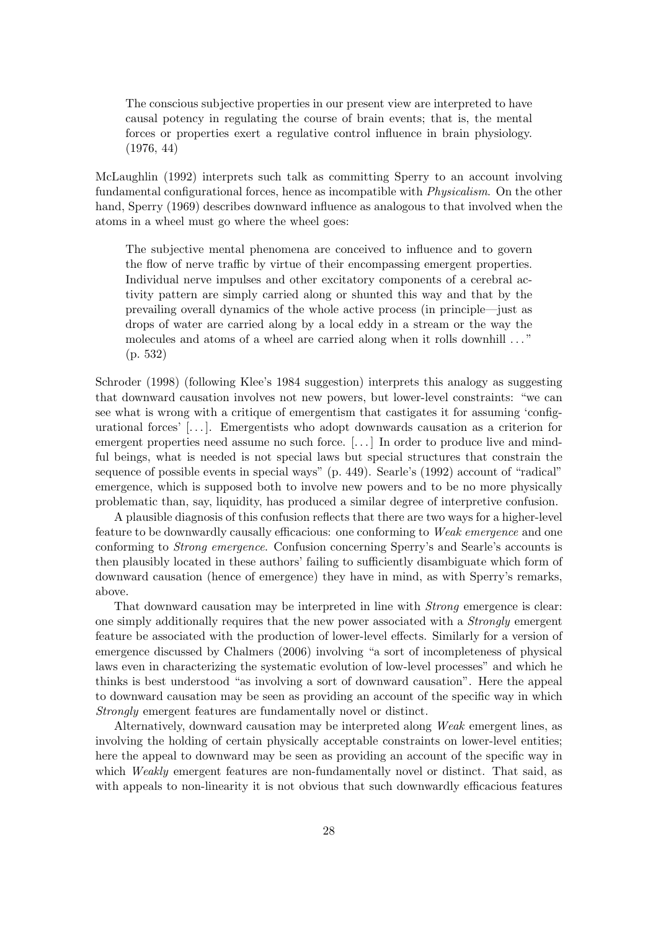The conscious subjective properties in our present view are interpreted to have causal potency in regulating the course of brain events; that is, the mental forces or properties exert a regulative control influence in brain physiology. (1976, 44)

McLaughlin (1992) interprets such talk as committing Sperry to an account involving fundamental configurational forces, hence as incompatible with *Physicalism*. On the other hand, Sperry (1969) describes downward influence as analogous to that involved when the atoms in a wheel must go where the wheel goes:

The subjective mental phenomena are conceived to influence and to govern the flow of nerve traffic by virtue of their encompassing emergent properties. Individual nerve impulses and other excitatory components of a cerebral activity pattern are simply carried along or shunted this way and that by the prevailing overall dynamics of the whole active process (in principle—just as drops of water are carried along by a local eddy in a stream or the way the molecules and atoms of a wheel are carried along when it rolls downhill . . . " (p. 532)

Schroder (1998) (following Klee's 1984 suggestion) interprets this analogy as suggesting that downward causation involves not new powers, but lower-level constraints: "we can see what is wrong with a critique of emergentism that castigates it for assuming 'configurational forces' [. . . ]. Emergentists who adopt downwards causation as a criterion for emergent properties need assume no such force. [...] In order to produce live and mindful beings, what is needed is not special laws but special structures that constrain the sequence of possible events in special ways" (p. 449). Searle's (1992) account of "radical" emergence, which is supposed both to involve new powers and to be no more physically problematic than, say, liquidity, has produced a similar degree of interpretive confusion.

A plausible diagnosis of this confusion reflects that there are two ways for a higher-level feature to be downwardly causally efficacious: one conforming to *Weak emergence* and one conforming to *Strong emergence*. Confusion concerning Sperry's and Searle's accounts is then plausibly located in these authors' failing to sufficiently disambiguate which form of downward causation (hence of emergence) they have in mind, as with Sperry's remarks, above.

That downward causation may be interpreted in line with *Strong* emergence is clear: one simply additionally requires that the new power associated with a *Strongly* emergent feature be associated with the production of lower-level effects. Similarly for a version of emergence discussed by Chalmers (2006) involving "a sort of incompleteness of physical laws even in characterizing the systematic evolution of low-level processes" and which he thinks is best understood "as involving a sort of downward causation". Here the appeal to downward causation may be seen as providing an account of the specific way in which *Strongly* emergent features are fundamentally novel or distinct.

Alternatively, downward causation may be interpreted along *Weak* emergent lines, as involving the holding of certain physically acceptable constraints on lower-level entities; here the appeal to downward may be seen as providing an account of the specific way in which *Weakly* emergent features are non-fundamentally novel or distinct. That said, as with appeals to non-linearity it is not obvious that such downwardly efficacious features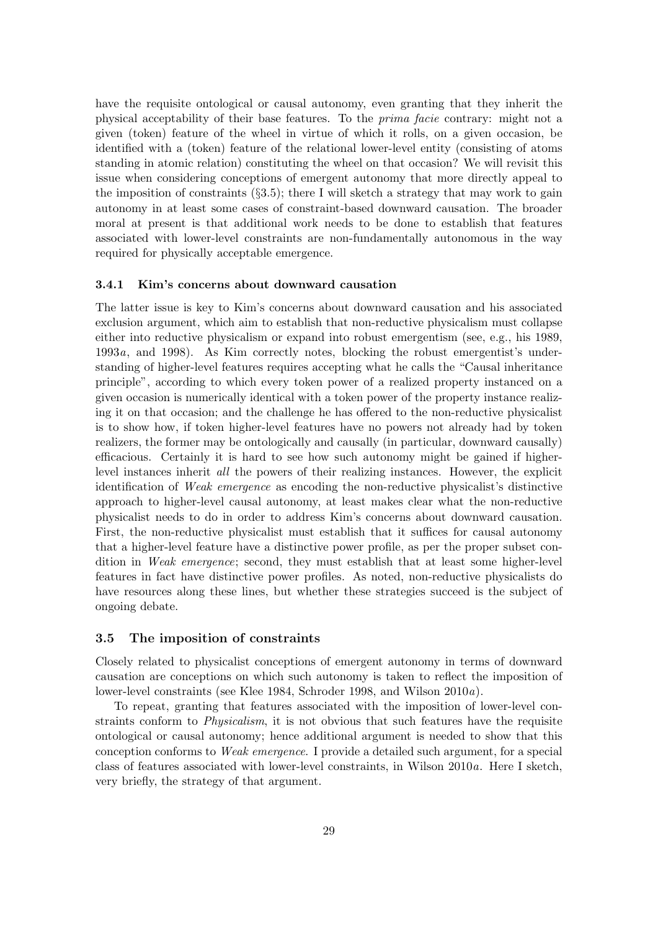have the requisite ontological or causal autonomy, even granting that they inherit the physical acceptability of their base features. To the *prima facie* contrary: might not a given (token) feature of the wheel in virtue of which it rolls, on a given occasion, be identified with a (token) feature of the relational lower-level entity (consisting of atoms standing in atomic relation) constituting the wheel on that occasion? We will revisit this issue when considering conceptions of emergent autonomy that more directly appeal to the imposition of constraints (*§*3.5); there I will sketch a strategy that may work to gain autonomy in at least some cases of constraint-based downward causation. The broader moral at present is that additional work needs to be done to establish that features associated with lower-level constraints are non-fundamentally autonomous in the way required for physically acceptable emergence.

#### 3.4.1 Kim's concerns about downward causation

The latter issue is key to Kim's concerns about downward causation and his associated exclusion argument, which aim to establish that non-reductive physicalism must collapse either into reductive physicalism or expand into robust emergentism (see, e.g., his 1989, 1993*a*, and 1998). As Kim correctly notes, blocking the robust emergentist's understanding of higher-level features requires accepting what he calls the "Causal inheritance principle", according to which every token power of a realized property instanced on a given occasion is numerically identical with a token power of the property instance realizing it on that occasion; and the challenge he has offered to the non-reductive physicalist is to show how, if token higher-level features have no powers not already had by token realizers, the former may be ontologically and causally (in particular, downward causally) efficacious. Certainly it is hard to see how such autonomy might be gained if higherlevel instances inherit *all* the powers of their realizing instances. However, the explicit identification of *Weak emergence* as encoding the non-reductive physicalist's distinctive approach to higher-level causal autonomy, at least makes clear what the non-reductive physicalist needs to do in order to address Kim's concerns about downward causation. First, the non-reductive physicalist must establish that it suffices for causal autonomy that a higher-level feature have a distinctive power profile, as per the proper subset condition in *Weak emergence*; second, they must establish that at least some higher-level features in fact have distinctive power profiles. As noted, non-reductive physicalists do have resources along these lines, but whether these strategies succeed is the subject of ongoing debate.

#### 3.5 The imposition of constraints

Closely related to physicalist conceptions of emergent autonomy in terms of downward causation are conceptions on which such autonomy is taken to reflect the imposition of lower-level constraints (see Klee 1984, Schroder 1998, and Wilson 2010*a*).

To repeat, granting that features associated with the imposition of lower-level constraints conform to *Physicalism*, it is not obvious that such features have the requisite ontological or causal autonomy; hence additional argument is needed to show that this conception conforms to *Weak emergence*. I provide a detailed such argument, for a special class of features associated with lower-level constraints, in Wilson 2010*a*. Here I sketch, very briefly, the strategy of that argument.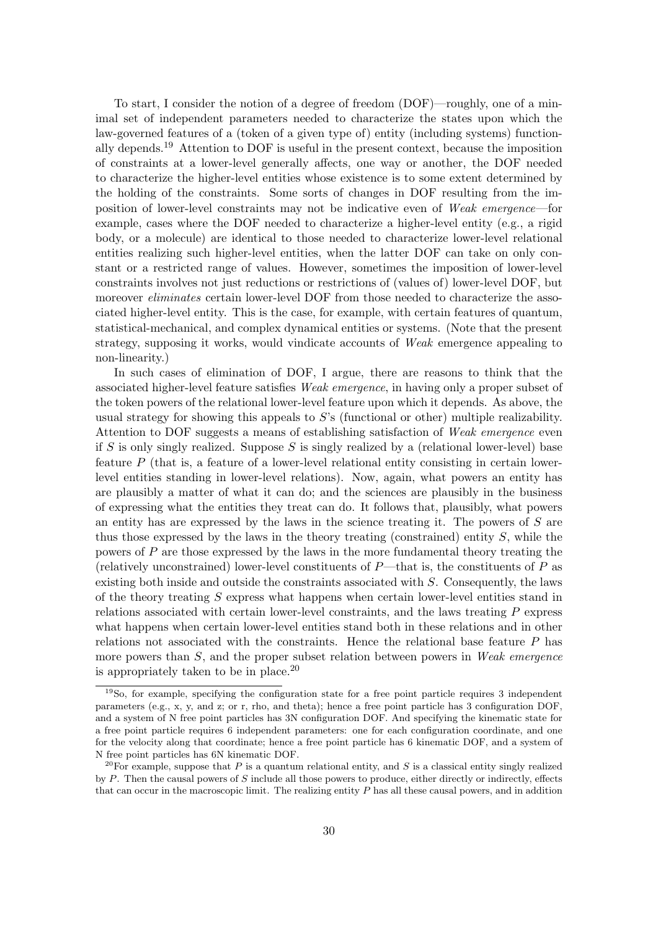To start, I consider the notion of a degree of freedom (DOF)—roughly, one of a minimal set of independent parameters needed to characterize the states upon which the law-governed features of a (token of a given type of) entity (including systems) functionally depends.<sup>19</sup> Attention to DOF is useful in the present context, because the imposition of constraints at a lower-level generally a↵ects, one way or another, the DOF needed to characterize the higher-level entities whose existence is to some extent determined by the holding of the constraints. Some sorts of changes in DOF resulting from the imposition of lower-level constraints may not be indicative even of *Weak emergence*—for example, cases where the DOF needed to characterize a higher-level entity (e.g., a rigid body, or a molecule) are identical to those needed to characterize lower-level relational entities realizing such higher-level entities, when the latter DOF can take on only constant or a restricted range of values. However, sometimes the imposition of lower-level constraints involves not just reductions or restrictions of (values of) lower-level DOF, but moreover *eliminates* certain lower-level DOF from those needed to characterize the associated higher-level entity. This is the case, for example, with certain features of quantum, statistical-mechanical, and complex dynamical entities or systems. (Note that the present strategy, supposing it works, would vindicate accounts of *Weak* emergence appealing to non-linearity.)

In such cases of elimination of DOF, I argue, there are reasons to think that the associated higher-level feature satisfies *Weak emergence*, in having only a proper subset of the token powers of the relational lower-level feature upon which it depends. As above, the usual strategy for showing this appeals to *S*'s (functional or other) multiple realizability. Attention to DOF suggests a means of establishing satisfaction of *Weak emergence* even if *S* is only singly realized. Suppose *S* is singly realized by a (relational lower-level) base feature P (that is, a feature of a lower-level relational entity consisting in certain lowerlevel entities standing in lower-level relations). Now, again, what powers an entity has are plausibly a matter of what it can do; and the sciences are plausibly in the business of expressing what the entities they treat can do. It follows that, plausibly, what powers an entity has are expressed by the laws in the science treating it. The powers of *S* are thus those expressed by the laws in the theory treating (constrained) entity *S*, while the powers of *P* are those expressed by the laws in the more fundamental theory treating the (relatively unconstrained) lower-level constituents of *P*—that is, the constituents of *P* as existing both inside and outside the constraints associated with *S*. Consequently, the laws of the theory treating *S* express what happens when certain lower-level entities stand in relations associated with certain lower-level constraints, and the laws treating *P* express what happens when certain lower-level entities stand both in these relations and in other relations not associated with the constraints. Hence the relational base feature *P* has more powers than *S*, and the proper subset relation between powers in *Weak emergence* is appropriately taken to be in place.<sup>20</sup>

<sup>19</sup>So, for example, specifying the configuration state for a free point particle requires 3 independent parameters (e.g., x, y, and z; or r, rho, and theta); hence a free point particle has 3 configuration DOF, and a system of N free point particles has 3N configuration DOF. And specifying the kinematic state for a free point particle requires 6 independent parameters: one for each configuration coordinate, and one for the velocity along that coordinate; hence a free point particle has 6 kinematic DOF, and a system of N free point particles has 6N kinematic DOF.

<sup>&</sup>lt;sup>20</sup>For example, suppose that  $P$  is a quantum relational entity, and  $S$  is a classical entity singly realized by *P*. Then the causal powers of *S* include all those powers to produce, either directly or indirectly, effects that can occur in the macroscopic limit. The realizing entity *P* has all these causal powers, and in addition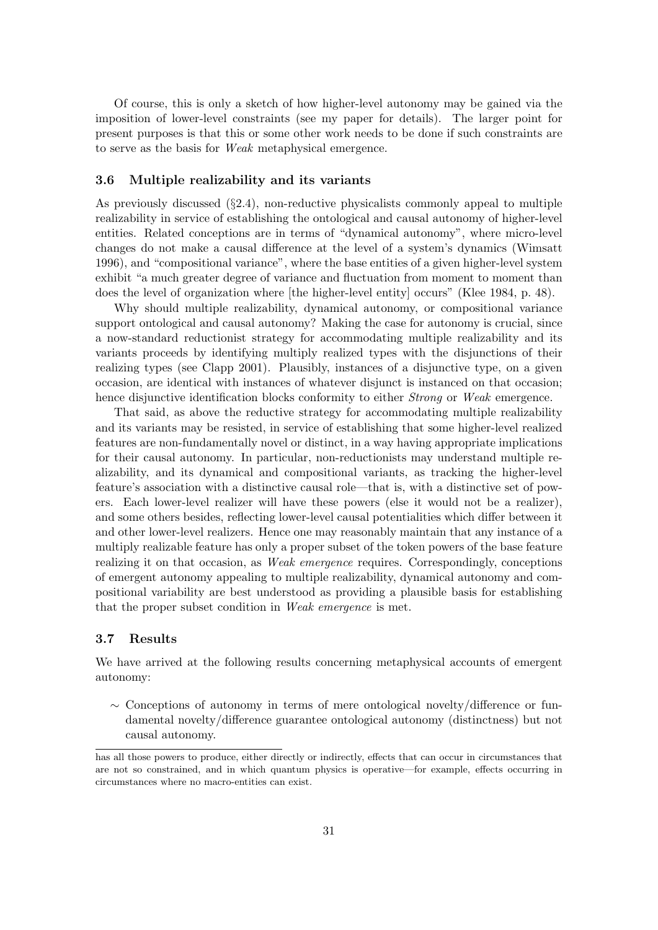Of course, this is only a sketch of how higher-level autonomy may be gained via the imposition of lower-level constraints (see my paper for details). The larger point for present purposes is that this or some other work needs to be done if such constraints are to serve as the basis for *Weak* metaphysical emergence.

#### 3.6 Multiple realizability and its variants

As previously discussed (*§*2.4), non-reductive physicalists commonly appeal to multiple realizability in service of establishing the ontological and causal autonomy of higher-level entities. Related conceptions are in terms of "dynamical autonomy", where micro-level changes do not make a causal difference at the level of a system's dynamics (Wimsatt 1996), and "compositional variance", where the base entities of a given higher-level system exhibit "a much greater degree of variance and fluctuation from moment to moment than does the level of organization where [the higher-level entity] occurs" (Klee 1984, p. 48).

Why should multiple realizability, dynamical autonomy, or compositional variance support ontological and causal autonomy? Making the case for autonomy is crucial, since a now-standard reductionist strategy for accommodating multiple realizability and its variants proceeds by identifying multiply realized types with the disjunctions of their realizing types (see Clapp 2001). Plausibly, instances of a disjunctive type, on a given occasion, are identical with instances of whatever disjunct is instanced on that occasion; hence disjunctive identification blocks conformity to either *Strong* or *Weak* emergence.

That said, as above the reductive strategy for accommodating multiple realizability and its variants may be resisted, in service of establishing that some higher-level realized features are non-fundamentally novel or distinct, in a way having appropriate implications for their causal autonomy. In particular, non-reductionists may understand multiple realizability, and its dynamical and compositional variants, as tracking the higher-level feature's association with a distinctive causal role—that is, with a distinctive set of powers. Each lower-level realizer will have these powers (else it would not be a realizer), and some others besides, reflecting lower-level causal potentialities which differ between it and other lower-level realizers. Hence one may reasonably maintain that any instance of a multiply realizable feature has only a proper subset of the token powers of the base feature realizing it on that occasion, as *Weak emergence* requires. Correspondingly, conceptions of emergent autonomy appealing to multiple realizability, dynamical autonomy and compositional variability are best understood as providing a plausible basis for establishing that the proper subset condition in *Weak emergence* is met.

#### 3.7 Results

We have arrived at the following results concerning metaphysical accounts of emergent autonomy:

 $\sim$  Conceptions of autonomy in terms of mere ontological novelty/difference or fundamental novelty/difference guarantee ontological autonomy (distinctness) but not causal autonomy.

has all those powers to produce, either directly or indirectly, effects that can occur in circumstances that are not so constrained, and in which quantum physics is operative—for example, effects occurring in circumstances where no macro-entities can exist.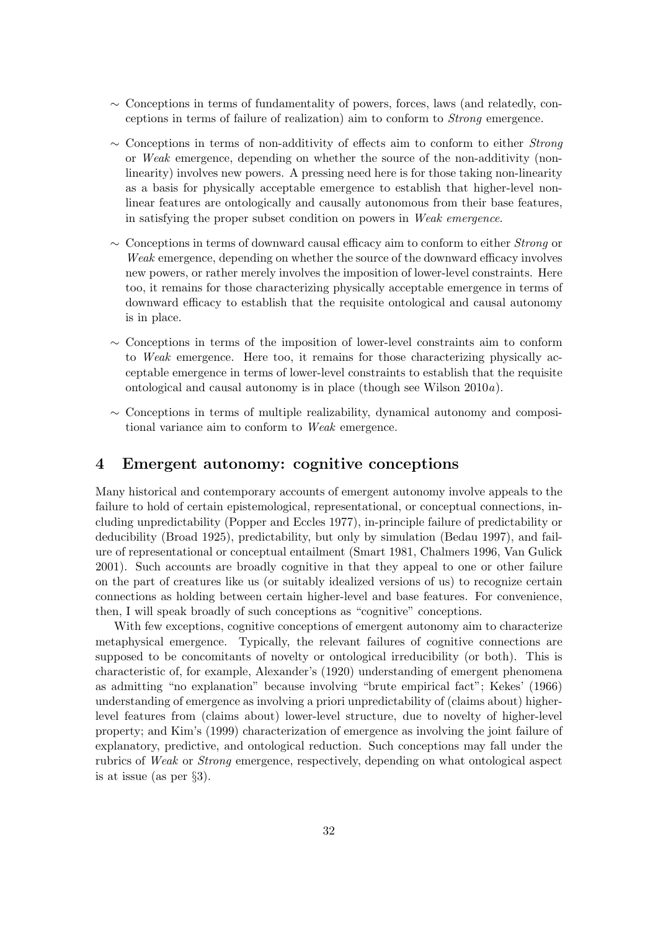- $\sim$  Conceptions in terms of fundamentality of powers, forces, laws (and relatedly, conceptions in terms of failure of realization) aim to conform to *Strong* emergence.
- $\sim$  Conceptions in terms of non-additivity of effects aim to conform to either *Strong* or *Weak* emergence, depending on whether the source of the non-additivity (nonlinearity) involves new powers. A pressing need here is for those taking non-linearity as a basis for physically acceptable emergence to establish that higher-level nonlinear features are ontologically and causally autonomous from their base features, in satisfying the proper subset condition on powers in *Weak emergence*.
- $\sim$  Conceptions in terms of downward causal efficacy aim to conform to either *Strong* or *Weak* emergence, depending on whether the source of the downward efficacy involves new powers, or rather merely involves the imposition of lower-level constraints. Here too, it remains for those characterizing physically acceptable emergence in terms of downward efficacy to establish that the requisite ontological and causal autonomy is in place.
- $\sim$  Conceptions in terms of the imposition of lower-level constraints aim to conform to *Weak* emergence. Here too, it remains for those characterizing physically acceptable emergence in terms of lower-level constraints to establish that the requisite ontological and causal autonomy is in place (though see Wilson 2010*a*).
- $\sim$  Conceptions in terms of multiple realizability, dynamical autonomy and compositional variance aim to conform to *Weak* emergence.

## 4 Emergent autonomy: cognitive conceptions

Many historical and contemporary accounts of emergent autonomy involve appeals to the failure to hold of certain epistemological, representational, or conceptual connections, including unpredictability (Popper and Eccles 1977), in-principle failure of predictability or deducibility (Broad 1925), predictability, but only by simulation (Bedau 1997), and failure of representational or conceptual entailment (Smart 1981, Chalmers 1996, Van Gulick 2001). Such accounts are broadly cognitive in that they appeal to one or other failure on the part of creatures like us (or suitably idealized versions of us) to recognize certain connections as holding between certain higher-level and base features. For convenience, then, I will speak broadly of such conceptions as "cognitive" conceptions.

With few exceptions, cognitive conceptions of emergent autonomy aim to characterize metaphysical emergence. Typically, the relevant failures of cognitive connections are supposed to be concomitants of novelty or ontological irreducibility (or both). This is characteristic of, for example, Alexander's (1920) understanding of emergent phenomena as admitting "no explanation" because involving "brute empirical fact"; Kekes' (1966) understanding of emergence as involving a priori unpredictability of (claims about) higherlevel features from (claims about) lower-level structure, due to novelty of higher-level property; and Kim's (1999) characterization of emergence as involving the joint failure of explanatory, predictive, and ontological reduction. Such conceptions may fall under the rubrics of *Weak* or *Strong* emergence, respectively, depending on what ontological aspect is at issue (as per *§*3).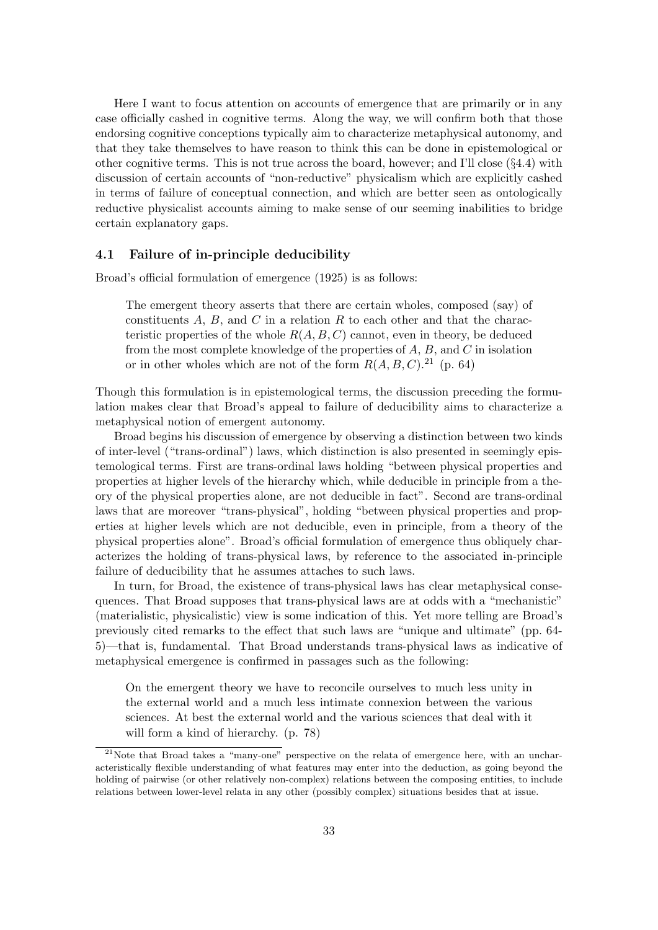Here I want to focus attention on accounts of emergence that are primarily or in any case officially cashed in cognitive terms. Along the way, we will confirm both that those endorsing cognitive conceptions typically aim to characterize metaphysical autonomy, and that they take themselves to have reason to think this can be done in epistemological or other cognitive terms. This is not true across the board, however; and I'll close (*§*4.4) with discussion of certain accounts of "non-reductive" physicalism which are explicitly cashed in terms of failure of conceptual connection, and which are better seen as ontologically reductive physicalist accounts aiming to make sense of our seeming inabilities to bridge certain explanatory gaps.

#### 4.1 Failure of in-principle deducibility

Broad's official formulation of emergence (1925) is as follows:

The emergent theory asserts that there are certain wholes, composed (say) of constituents *A*, *B*, and *C* in a relation *R* to each other and that the characteristic properties of the whole *R*(*A, B, C*) cannot, even in theory, be deduced from the most complete knowledge of the properties of *A*, *B*, and *C* in isolation or in other wholes which are not of the form  $R(A, B, C)$ .<sup>21</sup> (p. 64)

Though this formulation is in epistemological terms, the discussion preceding the formulation makes clear that Broad's appeal to failure of deducibility aims to characterize a metaphysical notion of emergent autonomy.

Broad begins his discussion of emergence by observing a distinction between two kinds of inter-level ("trans-ordinal") laws, which distinction is also presented in seemingly epistemological terms. First are trans-ordinal laws holding "between physical properties and properties at higher levels of the hierarchy which, while deducible in principle from a theory of the physical properties alone, are not deducible in fact". Second are trans-ordinal laws that are moreover "trans-physical", holding "between physical properties and properties at higher levels which are not deducible, even in principle, from a theory of the physical properties alone". Broad's official formulation of emergence thus obliquely characterizes the holding of trans-physical laws, by reference to the associated in-principle failure of deducibility that he assumes attaches to such laws.

In turn, for Broad, the existence of trans-physical laws has clear metaphysical consequences. That Broad supposes that trans-physical laws are at odds with a "mechanistic" (materialistic, physicalistic) view is some indication of this. Yet more telling are Broad's previously cited remarks to the effect that such laws are "unique and ultimate" (pp. 64-5)—that is, fundamental. That Broad understands trans-physical laws as indicative of metaphysical emergence is confirmed in passages such as the following:

On the emergent theory we have to reconcile ourselves to much less unity in the external world and a much less intimate connexion between the various sciences. At best the external world and the various sciences that deal with it will form a kind of hierarchy. (p. 78)

<sup>&</sup>lt;sup>21</sup>Note that Broad takes a "many-one" perspective on the relata of emergence here, with an uncharacteristically flexible understanding of what features may enter into the deduction, as going beyond the holding of pairwise (or other relatively non-complex) relations between the composing entities, to include relations between lower-level relata in any other (possibly complex) situations besides that at issue.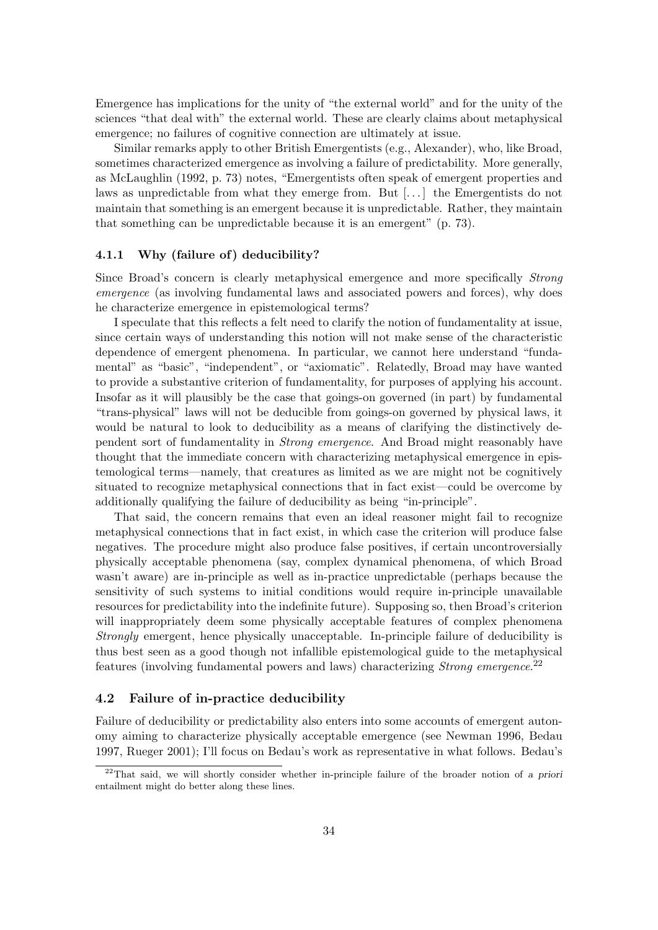Emergence has implications for the unity of "the external world" and for the unity of the sciences "that deal with" the external world. These are clearly claims about metaphysical emergence; no failures of cognitive connection are ultimately at issue.

Similar remarks apply to other British Emergentists (e.g., Alexander), who, like Broad, sometimes characterized emergence as involving a failure of predictability. More generally, as McLaughlin (1992, p. 73) notes, "Emergentists often speak of emergent properties and laws as unpredictable from what they emerge from. But [. . . ] the Emergentists do not maintain that something is an emergent because it is unpredictable. Rather, they maintain that something can be unpredictable because it is an emergent" (p. 73).

#### 4.1.1 Why (failure of) deducibility?

Since Broad's concern is clearly metaphysical emergence and more specifically *Strong emergence* (as involving fundamental laws and associated powers and forces), why does he characterize emergence in epistemological terms?

I speculate that this reflects a felt need to clarify the notion of fundamentality at issue, since certain ways of understanding this notion will not make sense of the characteristic dependence of emergent phenomena. In particular, we cannot here understand "fundamental" as "basic", "independent", or "axiomatic". Relatedly, Broad may have wanted to provide a substantive criterion of fundamentality, for purposes of applying his account. Insofar as it will plausibly be the case that goings-on governed (in part) by fundamental "trans-physical" laws will not be deducible from goings-on governed by physical laws, it would be natural to look to deducibility as a means of clarifying the distinctively dependent sort of fundamentality in *Strong emergence*. And Broad might reasonably have thought that the immediate concern with characterizing metaphysical emergence in epistemological terms—namely, that creatures as limited as we are might not be cognitively situated to recognize metaphysical connections that in fact exist—could be overcome by additionally qualifying the failure of deducibility as being "in-principle".

That said, the concern remains that even an ideal reasoner might fail to recognize metaphysical connections that in fact exist, in which case the criterion will produce false negatives. The procedure might also produce false positives, if certain uncontroversially physically acceptable phenomena (say, complex dynamical phenomena, of which Broad wasn't aware) are in-principle as well as in-practice unpredictable (perhaps because the sensitivity of such systems to initial conditions would require in-principle unavailable resources for predictability into the indefinite future). Supposing so, then Broad's criterion will inappropriately deem some physically acceptable features of complex phenomena *Strongly* emergent, hence physically unacceptable. In-principle failure of deducibility is thus best seen as a good though not infallible epistemological guide to the metaphysical features (involving fundamental powers and laws) characterizing *Strong emergence*. 22

#### 4.2 Failure of in-practice deducibility

Failure of deducibility or predictability also enters into some accounts of emergent autonomy aiming to characterize physically acceptable emergence (see Newman 1996, Bedau 1997, Rueger 2001); I'll focus on Bedau's work as representative in what follows. Bedau's

<sup>22</sup>That said, we will shortly consider whether in-principle failure of the broader notion of *a priori* entailment might do better along these lines.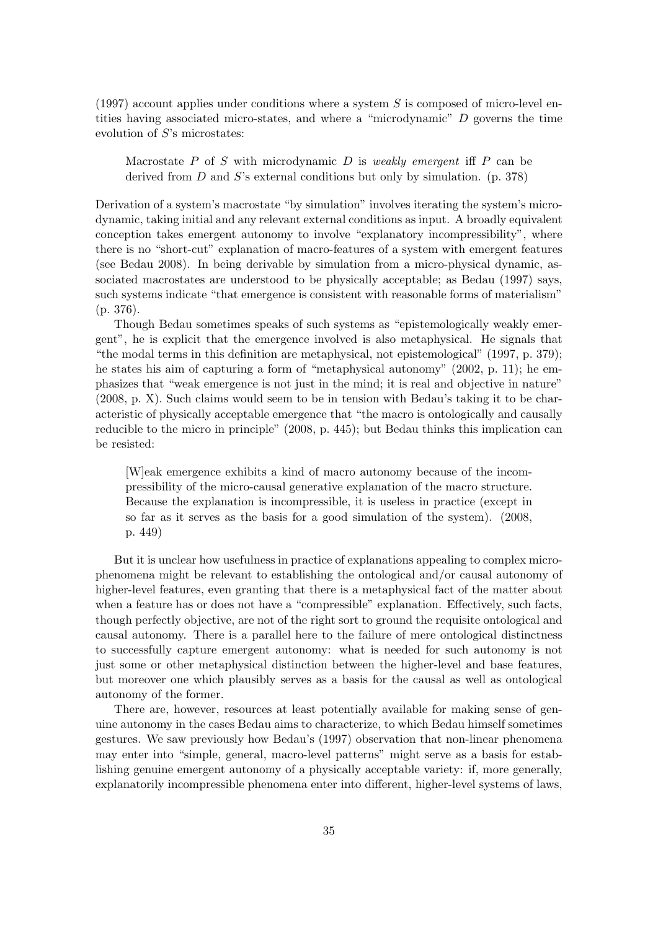(1997) account applies under conditions where a system *S* is composed of micro-level entities having associated micro-states, and where a "microdynamic" *D* governs the time evolution of *S*'s microstates:

Macrostate  $P$  of  $S$  with microdynamic  $D$  is *weakly emergent* iff  $P$  can be derived from *D* and *S*'s external conditions but only by simulation. (p. 378)

Derivation of a system's macrostate "by simulation" involves iterating the system's microdynamic, taking initial and any relevant external conditions as input. A broadly equivalent conception takes emergent autonomy to involve "explanatory incompressibility", where there is no "short-cut" explanation of macro-features of a system with emergent features (see Bedau 2008). In being derivable by simulation from a micro-physical dynamic, associated macrostates are understood to be physically acceptable; as Bedau (1997) says, such systems indicate "that emergence is consistent with reasonable forms of materialism" (p. 376).

Though Bedau sometimes speaks of such systems as "epistemologically weakly emergent", he is explicit that the emergence involved is also metaphysical. He signals that "the modal terms in this definition are metaphysical, not epistemological" (1997, p. 379); he states his aim of capturing a form of "metaphysical autonomy" (2002, p. 11); he emphasizes that "weak emergence is not just in the mind; it is real and objective in nature" (2008, p. X). Such claims would seem to be in tension with Bedau's taking it to be characteristic of physically acceptable emergence that "the macro is ontologically and causally reducible to the micro in principle" (2008, p. 445); but Bedau thinks this implication can be resisted:

[W]eak emergence exhibits a kind of macro autonomy because of the incompressibility of the micro-causal generative explanation of the macro structure. Because the explanation is incompressible, it is useless in practice (except in so far as it serves as the basis for a good simulation of the system). (2008, p. 449)

But it is unclear how usefulness in practice of explanations appealing to complex microphenomena might be relevant to establishing the ontological and/or causal autonomy of higher-level features, even granting that there is a metaphysical fact of the matter about when a feature has or does not have a "compressible" explanation. Effectively, such facts, though perfectly objective, are not of the right sort to ground the requisite ontological and causal autonomy. There is a parallel here to the failure of mere ontological distinctness to successfully capture emergent autonomy: what is needed for such autonomy is not just some or other metaphysical distinction between the higher-level and base features, but moreover one which plausibly serves as a basis for the causal as well as ontological autonomy of the former.

There are, however, resources at least potentially available for making sense of genuine autonomy in the cases Bedau aims to characterize, to which Bedau himself sometimes gestures. We saw previously how Bedau's (1997) observation that non-linear phenomena may enter into "simple, general, macro-level patterns" might serve as a basis for establishing genuine emergent autonomy of a physically acceptable variety: if, more generally, explanatorily incompressible phenomena enter into different, higher-level systems of laws,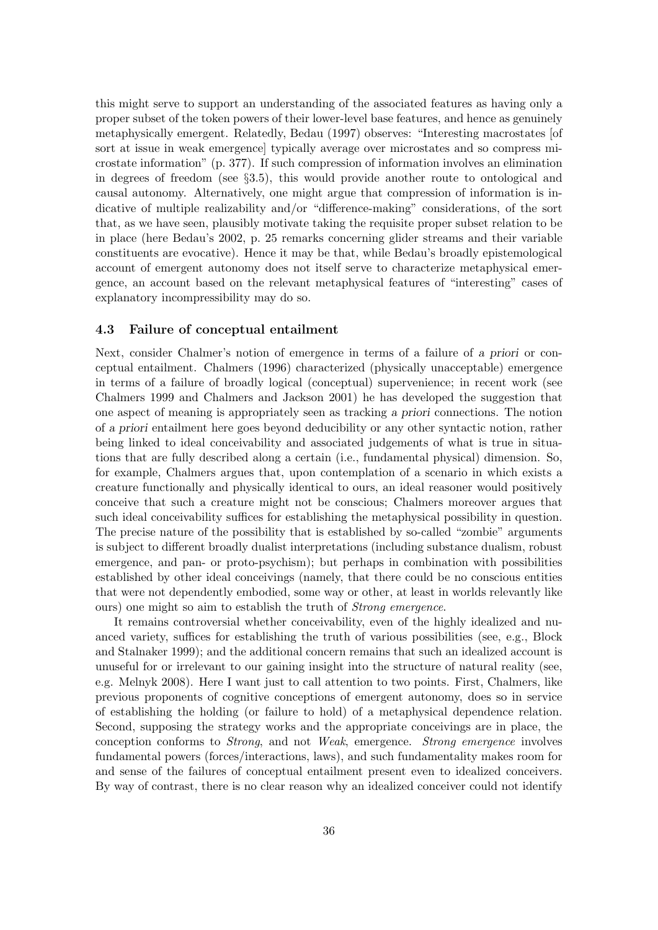this might serve to support an understanding of the associated features as having only a proper subset of the token powers of their lower-level base features, and hence as genuinely metaphysically emergent. Relatedly, Bedau (1997) observes: "Interesting macrostates [of sort at issue in weak emergence] typically average over microstates and so compress microstate information" (p. 377). If such compression of information involves an elimination in degrees of freedom (see *§*3.5), this would provide another route to ontological and causal autonomy. Alternatively, one might argue that compression of information is indicative of multiple realizability and/or "difference-making" considerations, of the sort that, as we have seen, plausibly motivate taking the requisite proper subset relation to be in place (here Bedau's 2002, p. 25 remarks concerning glider streams and their variable constituents are evocative). Hence it may be that, while Bedau's broadly epistemological account of emergent autonomy does not itself serve to characterize metaphysical emergence, an account based on the relevant metaphysical features of "interesting" cases of explanatory incompressibility may do so.

#### 4.3 Failure of conceptual entailment

Next, consider Chalmer's notion of emergence in terms of a failure of *a priori* or conceptual entailment. Chalmers (1996) characterized (physically unacceptable) emergence in terms of a failure of broadly logical (conceptual) supervenience; in recent work (see Chalmers 1999 and Chalmers and Jackson 2001) he has developed the suggestion that one aspect of meaning is appropriately seen as tracking *a priori* connections. The notion of *a priori* entailment here goes beyond deducibility or any other syntactic notion, rather being linked to ideal conceivability and associated judgements of what is true in situations that are fully described along a certain (i.e., fundamental physical) dimension. So, for example, Chalmers argues that, upon contemplation of a scenario in which exists a creature functionally and physically identical to ours, an ideal reasoner would positively conceive that such a creature might not be conscious; Chalmers moreover argues that such ideal conceivability suffices for establishing the metaphysical possibility in question. The precise nature of the possibility that is established by so-called "zombie" arguments is subject to different broadly dualist interpretations (including substance dualism, robust emergence, and pan- or proto-psychism); but perhaps in combination with possibilities established by other ideal conceivings (namely, that there could be no conscious entities that were not dependently embodied, some way or other, at least in worlds relevantly like ours) one might so aim to establish the truth of *Strong emergence*.

It remains controversial whether conceivability, even of the highly idealized and nuanced variety, suffices for establishing the truth of various possibilities (see, e.g., Block and Stalnaker 1999); and the additional concern remains that such an idealized account is unuseful for or irrelevant to our gaining insight into the structure of natural reality (see, e.g. Melnyk 2008). Here I want just to call attention to two points. First, Chalmers, like previous proponents of cognitive conceptions of emergent autonomy, does so in service of establishing the holding (or failure to hold) of a metaphysical dependence relation. Second, supposing the strategy works and the appropriate conceivings are in place, the conception conforms to *Strong*, and not *Weak*, emergence. *Strong emergence* involves fundamental powers (forces/interactions, laws), and such fundamentality makes room for and sense of the failures of conceptual entailment present even to idealized conceivers. By way of contrast, there is no clear reason why an idealized conceiver could not identify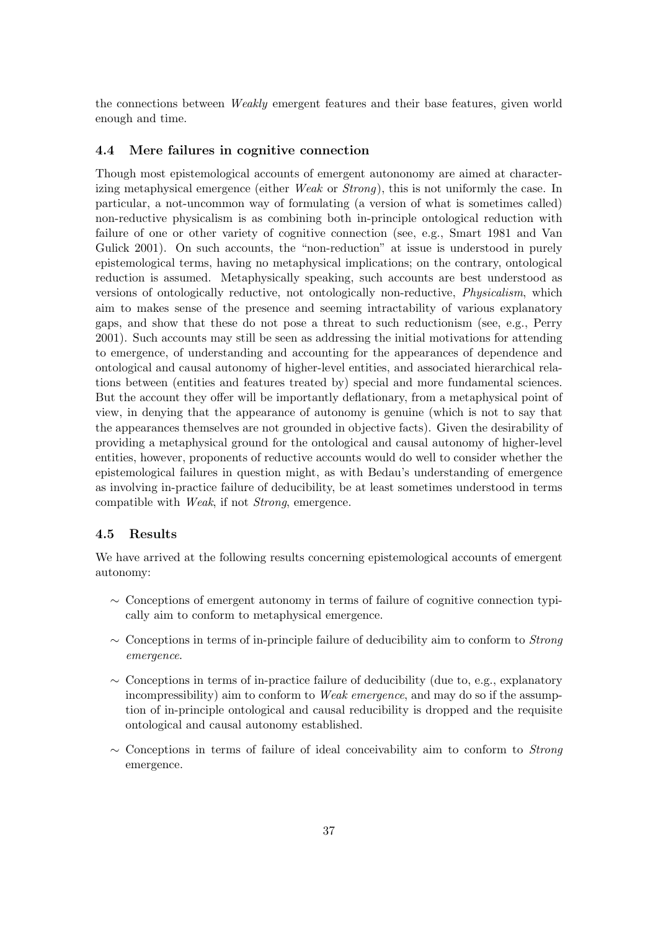the connections between *Weakly* emergent features and their base features, given world enough and time.

#### 4.4 Mere failures in cognitive connection

Though most epistemological accounts of emergent autononomy are aimed at characterizing metaphysical emergence (either *Weak* or *Strong*), this is not uniformly the case. In particular, a not-uncommon way of formulating (a version of what is sometimes called) non-reductive physicalism is as combining both in-principle ontological reduction with failure of one or other variety of cognitive connection (see, e.g., Smart 1981 and Van Gulick 2001). On such accounts, the "non-reduction" at issue is understood in purely epistemological terms, having no metaphysical implications; on the contrary, ontological reduction is assumed. Metaphysically speaking, such accounts are best understood as versions of ontologically reductive, not ontologically non-reductive, *Physicalism*, which aim to makes sense of the presence and seeming intractability of various explanatory gaps, and show that these do not pose a threat to such reductionism (see, e.g., Perry 2001). Such accounts may still be seen as addressing the initial motivations for attending to emergence, of understanding and accounting for the appearances of dependence and ontological and causal autonomy of higher-level entities, and associated hierarchical relations between (entities and features treated by) special and more fundamental sciences. But the account they offer will be importantly deflationary, from a metaphysical point of view, in denying that the appearance of autonomy is genuine (which is not to say that the appearances themselves are not grounded in objective facts). Given the desirability of providing a metaphysical ground for the ontological and causal autonomy of higher-level entities, however, proponents of reductive accounts would do well to consider whether the epistemological failures in question might, as with Bedau's understanding of emergence as involving in-practice failure of deducibility, be at least sometimes understood in terms compatible with *Weak*, if not *Strong*, emergence.

## 4.5 Results

We have arrived at the following results concerning epistemological accounts of emergent autonomy:

- $\sim$  Conceptions of emergent autonomy in terms of failure of cognitive connection typically aim to conform to metaphysical emergence.
- $\sim$  Conceptions in terms of in-principle failure of deducibility aim to conform to *Strong emergence*.
- $\sim$  Conceptions in terms of in-practice failure of deducibility (due to, e.g., explanatory incompressibility) aim to conform to *Weak emergence*, and may do so if the assumption of in-principle ontological and causal reducibility is dropped and the requisite ontological and causal autonomy established.
- $\sim$  Conceptions in terms of failure of ideal conceivability aim to conform to *Strong* emergence.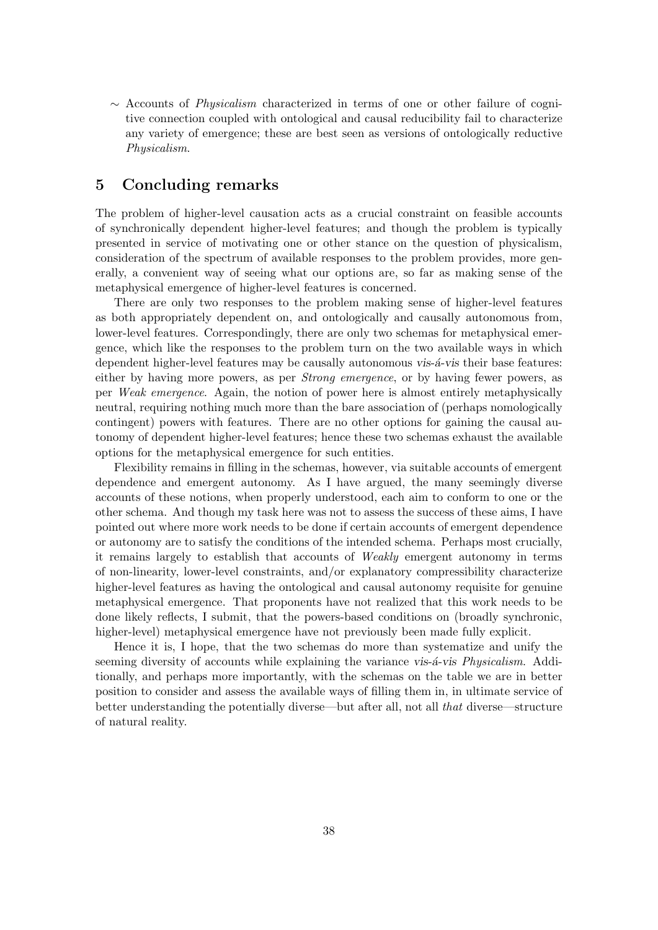$\sim$  Accounts of *Physicalism* characterized in terms of one or other failure of cognitive connection coupled with ontological and causal reducibility fail to characterize any variety of emergence; these are best seen as versions of ontologically reductive *Physicalism*.

## 5 Concluding remarks

The problem of higher-level causation acts as a crucial constraint on feasible accounts of synchronically dependent higher-level features; and though the problem is typically presented in service of motivating one or other stance on the question of physicalism, consideration of the spectrum of available responses to the problem provides, more generally, a convenient way of seeing what our options are, so far as making sense of the metaphysical emergence of higher-level features is concerned.

There are only two responses to the problem making sense of higher-level features as both appropriately dependent on, and ontologically and causally autonomous from, lower-level features. Correspondingly, there are only two schemas for metaphysical emergence, which like the responses to the problem turn on the two available ways in which dependent higher-level features may be causally autonomous *vis-a-vis* their base features: either by having more powers, as per *Strong emergence*, or by having fewer powers, as per *Weak emergence*. Again, the notion of power here is almost entirely metaphysically neutral, requiring nothing much more than the bare association of (perhaps nomologically contingent) powers with features. There are no other options for gaining the causal autonomy of dependent higher-level features; hence these two schemas exhaust the available options for the metaphysical emergence for such entities.

Flexibility remains in filling in the schemas, however, via suitable accounts of emergent dependence and emergent autonomy. As I have argued, the many seemingly diverse accounts of these notions, when properly understood, each aim to conform to one or the other schema. And though my task here was not to assess the success of these aims, I have pointed out where more work needs to be done if certain accounts of emergent dependence or autonomy are to satisfy the conditions of the intended schema. Perhaps most crucially, it remains largely to establish that accounts of *Weakly* emergent autonomy in terms of non-linearity, lower-level constraints, and/or explanatory compressibility characterize higher-level features as having the ontological and causal autonomy requisite for genuine metaphysical emergence. That proponents have not realized that this work needs to be done likely reflects, I submit, that the powers-based conditions on (broadly synchronic, higher-level) metaphysical emergence have not previously been made fully explicit.

Hence it is, I hope, that the two schemas do more than systematize and unify the seeming diversity of accounts while explaining the variance *vis-á-vis Physicalism*. Additionally, and perhaps more importantly, with the schemas on the table we are in better position to consider and assess the available ways of filling them in, in ultimate service of better understanding the potentially diverse—but after all, not all *that* diverse—structure of natural reality.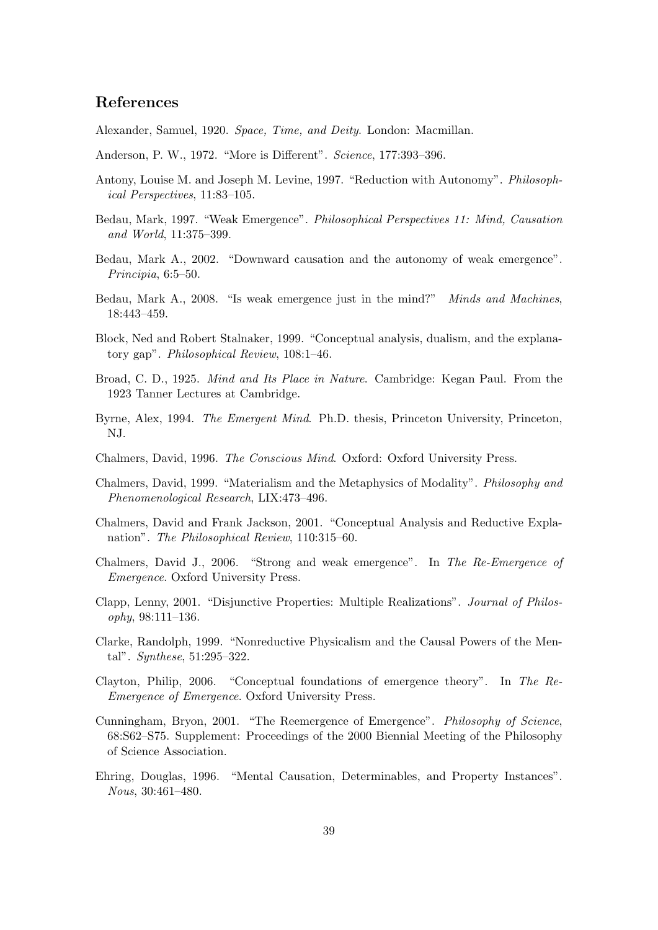## References

Alexander, Samuel, 1920. *Space, Time, and Deity*. London: Macmillan.

Anderson, P. W., 1972. "More is Different". *Science*, 177:393-396.

- Antony, Louise M. and Joseph M. Levine, 1997. "Reduction with Autonomy". *Philosophical Perspectives*, 11:83–105.
- Bedau, Mark, 1997. "Weak Emergence". *Philosophical Perspectives 11: Mind, Causation and World*, 11:375–399.
- Bedau, Mark A., 2002. "Downward causation and the autonomy of weak emergence". *Principia*, 6:5–50.
- Bedau, Mark A., 2008. "Is weak emergence just in the mind?" *Minds and Machines*, 18:443–459.
- Block, Ned and Robert Stalnaker, 1999. "Conceptual analysis, dualism, and the explanatory gap". *Philosophical Review*, 108:1–46.
- Broad, C. D., 1925. *Mind and Its Place in Nature*. Cambridge: Kegan Paul. From the 1923 Tanner Lectures at Cambridge.
- Byrne, Alex, 1994. *The Emergent Mind*. Ph.D. thesis, Princeton University, Princeton, NJ.
- Chalmers, David, 1996. *The Conscious Mind*. Oxford: Oxford University Press.
- Chalmers, David, 1999. "Materialism and the Metaphysics of Modality". *Philosophy and Phenomenological Research*, LIX:473–496.
- Chalmers, David and Frank Jackson, 2001. "Conceptual Analysis and Reductive Explanation". *The Philosophical Review*, 110:315–60.
- Chalmers, David J., 2006. "Strong and weak emergence". In *The Re-Emergence of Emergence*. Oxford University Press.
- Clapp, Lenny, 2001. "Disjunctive Properties: Multiple Realizations". *Journal of Philosophy*, 98:111–136.
- Clarke, Randolph, 1999. "Nonreductive Physicalism and the Causal Powers of the Mental". *Synthese*, 51:295–322.
- Clayton, Philip, 2006. "Conceptual foundations of emergence theory". In *The Re-Emergence of Emergence*. Oxford University Press.
- Cunningham, Bryon, 2001. "The Reemergence of Emergence". *Philosophy of Science*, 68:S62–S75. Supplement: Proceedings of the 2000 Biennial Meeting of the Philosophy of Science Association.
- Ehring, Douglas, 1996. "Mental Causation, Determinables, and Property Instances". *Nous*, 30:461–480.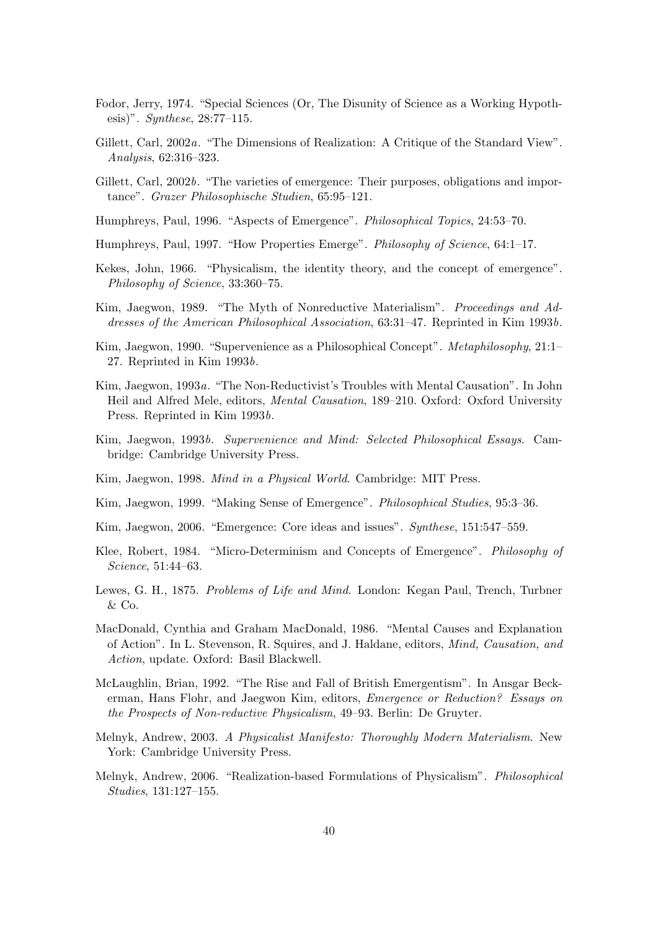- Fodor, Jerry, 1974. "Special Sciences (Or, The Disunity of Science as a Working Hypothesis)". *Synthese*, 28:77–115.
- Gillett, Carl, 2002*a*. "The Dimensions of Realization: A Critique of the Standard View". *Analysis*, 62:316–323.
- Gillett, Carl, 2002*b*. "The varieties of emergence: Their purposes, obligations and importance". *Grazer Philosophische Studien*, 65:95–121.
- Humphreys, Paul, 1996. "Aspects of Emergence". *Philosophical Topics*, 24:53–70.
- Humphreys, Paul, 1997. "How Properties Emerge". *Philosophy of Science*, 64:1–17.
- Kekes, John, 1966. "Physicalism, the identity theory, and the concept of emergence". *Philosophy of Science*, 33:360–75.
- Kim, Jaegwon, 1989. "The Myth of Nonreductive Materialism". *Proceedings and Addresses of the American Philosophical Association*, 63:31–47. Reprinted in Kim 1993*b*.
- Kim, Jaegwon, 1990. "Supervenience as a Philosophical Concept". *Metaphilosophy*, 21:1– 27. Reprinted in Kim 1993*b*.
- Kim, Jaegwon, 1993*a*. "The Non-Reductivist's Troubles with Mental Causation". In John Heil and Alfred Mele, editors, *Mental Causation*, 189–210. Oxford: Oxford University Press. Reprinted in Kim 1993*b*.
- Kim, Jaegwon, 1993*b*. *Supervenience and Mind: Selected Philosophical Essays*. Cambridge: Cambridge University Press.
- Kim, Jaegwon, 1998. *Mind in a Physical World*. Cambridge: MIT Press.
- Kim, Jaegwon, 1999. "Making Sense of Emergence". *Philosophical Studies*, 95:3–36.
- Kim, Jaegwon, 2006. "Emergence: Core ideas and issues". *Synthese*, 151:547–559.
- Klee, Robert, 1984. "Micro-Determinism and Concepts of Emergence". *Philosophy of Science*, 51:44–63.
- Lewes, G. H., 1875. *Problems of Life and Mind*. London: Kegan Paul, Trench, Turbner  $&\mathrm{Co}.$
- MacDonald, Cynthia and Graham MacDonald, 1986. "Mental Causes and Explanation of Action". In L. Stevenson, R. Squires, and J. Haldane, editors, *Mind, Causation, and Action*, update. Oxford: Basil Blackwell.
- McLaughlin, Brian, 1992. "The Rise and Fall of British Emergentism". In Ansgar Beckerman, Hans Flohr, and Jaegwon Kim, editors, *Emergence or Reduction? Essays on the Prospects of Non-reductive Physicalism*, 49–93. Berlin: De Gruyter.
- Melnyk, Andrew, 2003. *A Physicalist Manifesto: Thoroughly Modern Materialism*. New York: Cambridge University Press.
- Melnyk, Andrew, 2006. "Realization-based Formulations of Physicalism". *Philosophical Studies*, 131:127–155.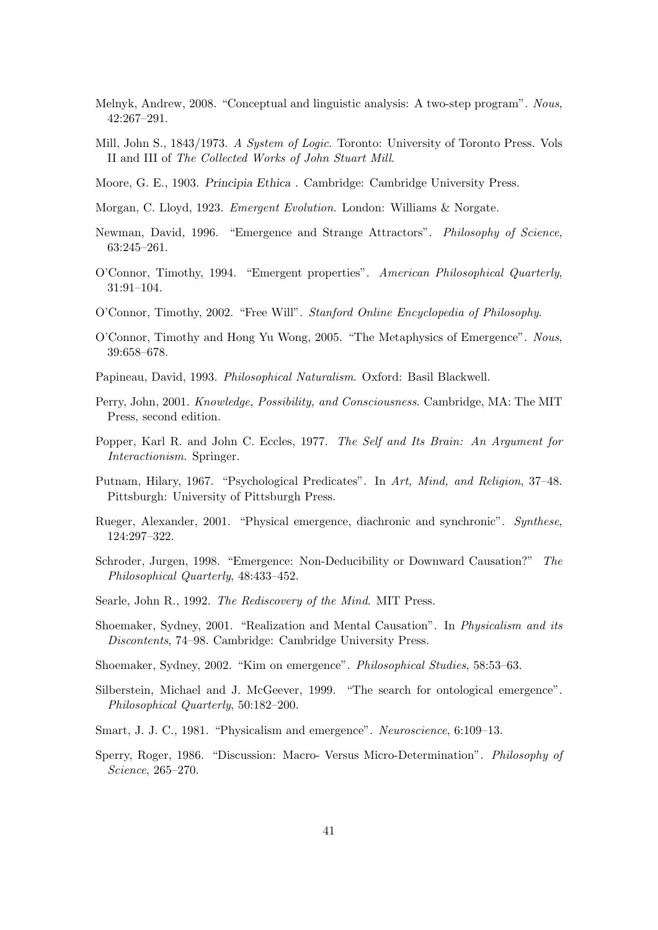- Melnyk, Andrew, 2008. "Conceptual and linguistic analysis: A two-step program". *Nous*, 42:267–291.
- Mill, John S., 1843/1973. *A System of Logic*. Toronto: University of Toronto Press. Vols II and III of *The Collected Works of John Stuart Mill*.

Moore, G. E., 1903. *Principia Ethica* . Cambridge: Cambridge University Press.

- Morgan, C. Lloyd, 1923. *Emergent Evolution*. London: Williams & Norgate.
- Newman, David, 1996. "Emergence and Strange Attractors". *Philosophy of Science*, 63:245–261.
- O'Connor, Timothy, 1994. "Emergent properties". *American Philosophical Quarterly*, 31:91–104.
- O'Connor, Timothy, 2002. "Free Will". *Stanford Online Encyclopedia of Philosophy*.
- O'Connor, Timothy and Hong Yu Wong, 2005. "The Metaphysics of Emergence". *Nous*, 39:658–678.
- Papineau, David, 1993. *Philosophical Naturalism*. Oxford: Basil Blackwell.
- Perry, John, 2001. *Knowledge, Possibility, and Consciousness*. Cambridge, MA: The MIT Press, second edition.
- Popper, Karl R. and John C. Eccles, 1977. *The Self and Its Brain: An Argument for Interactionism*. Springer.
- Putnam, Hilary, 1967. "Psychological Predicates". In *Art, Mind, and Religion*, 37–48. Pittsburgh: University of Pittsburgh Press.
- Rueger, Alexander, 2001. "Physical emergence, diachronic and synchronic". *Synthese*, 124:297–322.
- Schroder, Jurgen, 1998. "Emergence: Non-Deducibility or Downward Causation?" *The Philosophical Quarterly*, 48:433–452.
- Searle, John R., 1992. *The Rediscovery of the Mind*. MIT Press.
- Shoemaker, Sydney, 2001. "Realization and Mental Causation". In *Physicalism and its Discontents*, 74–98. Cambridge: Cambridge University Press.
- Shoemaker, Sydney, 2002. "Kim on emergence". *Philosophical Studies*, 58:53–63.
- Silberstein, Michael and J. McGeever, 1999. "The search for ontological emergence". *Philosophical Quarterly*, 50:182–200.
- Smart, J. J. C., 1981. "Physicalism and emergence". *Neuroscience*, 6:109–13.
- Sperry, Roger, 1986. "Discussion: Macro- Versus Micro-Determination". *Philosophy of Science*, 265–270.